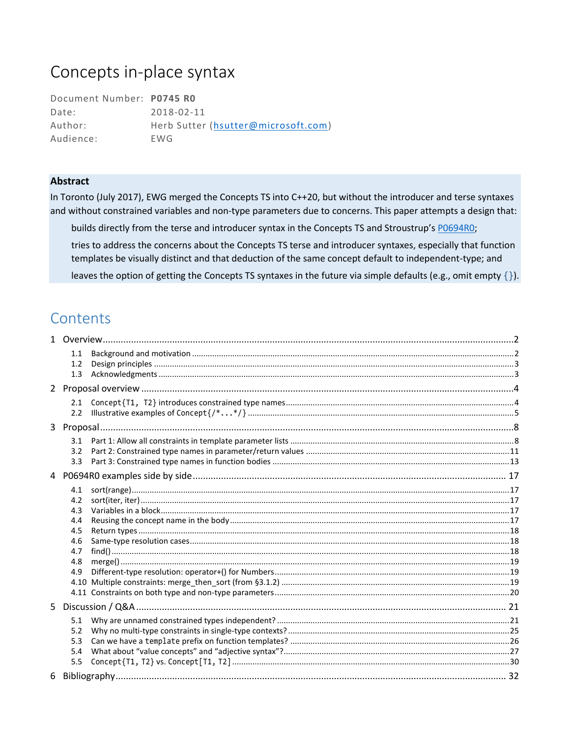# Concepts in-place syntax

| Document Number: P0745 RO |                                     |
|---------------------------|-------------------------------------|
| Date:                     | 2018-02-11                          |
| Author:                   | Herb Sutter (hsutter@microsoft.com) |
| Audience:                 | EWG.                                |

#### **Abstract**

In Toronto (July 2017), EWG merged the Concepts TS into C++20, but without the introducer and terse syntaxes and without constrained variables and non-type parameters due to concerns. This paper attempts a design that:

builds directly from the terse and introducer syntax in the Concepts TS and Stroustrup's PO694RO;

tries to address the concerns about the Concepts TS terse and introducer syntaxes, especially that function templates be visually distinct and that deduction of the same concept default to independent-type; and

leaves the option of getting the Concepts TS syntaxes in the future via simple defaults (e.g., omit empty  $\{\}.$ 

## Contents

| 1.1<br>1.2<br>1.3                                           |  |
|-------------------------------------------------------------|--|
|                                                             |  |
| 2.1<br>2.2                                                  |  |
|                                                             |  |
| 3.2<br>3.3                                                  |  |
|                                                             |  |
| 4.1<br>4.2<br>4.3<br>4.4<br>4.5<br>4.6<br>4.7<br>4.8<br>4.9 |  |
|                                                             |  |
| 5.1<br>5.2<br>5.3<br>5.4<br>5.5                             |  |
|                                                             |  |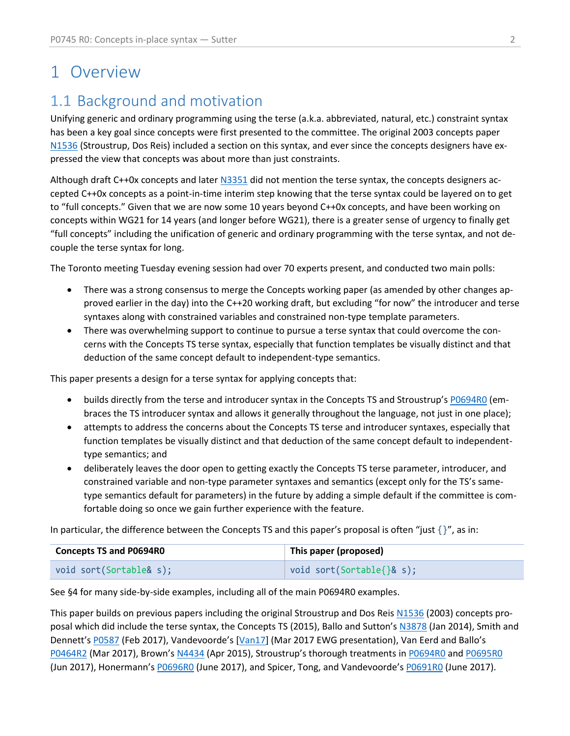# <span id="page-1-0"></span>1 Overview

# <span id="page-1-1"></span>1.1 Background and motivation

Unifying generic and ordinary programming using the terse (a.k.a. abbreviated, natural, etc.) constraint syntax has been a key goal since concepts were first presented to the committee. The original 2003 concepts paper [N1536](https://wg21.link/n1536) (Stroustrup, Dos Reis) included a section on this syntax, and ever since the concepts designers have expressed the view that concepts was about more than just constraints.

Although draft C++0x concepts and late[r N3351](https://wg21.link/n3351) did not mention the terse syntax, the concepts designers accepted C++0x concepts as a point-in-time interim step knowing that the terse syntax could be layered on to get to "full concepts." Given that we are now some 10 years beyond C++0x concepts, and have been working on concepts within WG21 for 14 years (and longer before WG21), there is a greater sense of urgency to finally get "full concepts" including the unification of generic and ordinary programming with the terse syntax, and not decouple the terse syntax for long.

The Toronto meeting Tuesday evening session had over 70 experts present, and conducted two main polls:

- There was a strong consensus to merge the Concepts working paper (as amended by other changes approved earlier in the day) into the C++20 working draft, but excluding "for now" the introducer and terse syntaxes along with constrained variables and constrained non-type template parameters.
- There was overwhelming support to continue to pursue a terse syntax that could overcome the concerns with the Concepts TS terse syntax, especially that function templates be visually distinct and that deduction of the same concept default to independent-type semantics.

This paper presents a design for a terse syntax for applying concepts that:

- builds directly from the terse and introducer syntax in the Concepts TS and Stroustrup's [P0694R0](https://wg21.link/p0694) (embraces the TS introducer syntax and allows it generally throughout the language, not just in one place);
- attempts to address the concerns about the Concepts TS terse and introducer syntaxes, especially that function templates be visually distinct and that deduction of the same concept default to independenttype semantics; and
- deliberately leaves the door open to getting exactly the Concepts TS terse parameter, introducer, and constrained variable and non-type parameter syntaxes and semantics (except only for the TS's sametype semantics default for parameters) in the future by adding a simple default if the committee is comfortable doing so once we gain further experience with the feature.

In particular, the difference between the Concepts TS and this paper's proposal is often "just  $\{$ '', as in:

| <b>Concepts TS and P0694R0</b> | This paper (proposed)                 |
|--------------------------------|---------------------------------------|
| void sort(Sortable& s);        | $\vert$ void sort(Sortable{ $\$ & s); |

See [§4](#page-16-0) for many side-by-side examples, including all of the main P0694R0 examples.

This paper builds on previous papers including the original Stroustrup and Dos Reis [N1536](https://wg21.link/n1536) (2003) concepts proposal which did include the terse syntax, the Concepts TS (2015), Ballo and Sutton's [N3878](https://wg21.link/n3878) (Jan 2014), Smith and Dennett's [P0587](https://wg21.link/p0587) (Feb 2017), Vandevoorde's [[Van17\]](http://wiki.edg.com/pub/Wg21kona2017/EvolutionWorkingGroup/terse_syntax_alternative.html) (Mar 2017 EWG presentation), Van Eerd and Ballo's [P0464R2](https://wg21.link/p0464r2) (Mar 2017), Brown's [N4434](https://wg21.link/n4434) (Apr 2015), Stroustrup's thorough treatments in [P0694R0](https://wg21.link/p0694) an[d P0695R0](https://wg21.link/p0695r0) (Jun 2017), Honermann's PO696RO (June 2017), and Spicer, Tong, and Vandevoorde's PO691RO (June 2017).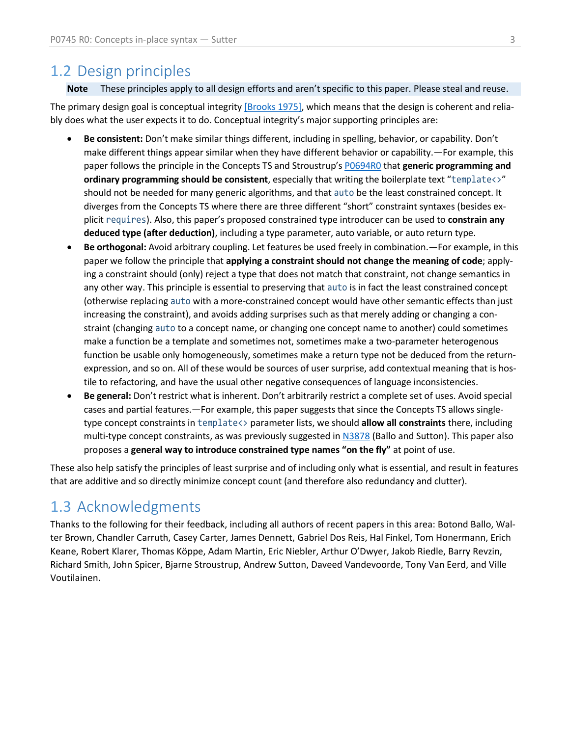### <span id="page-2-0"></span>1.2 Design principles

**Note** These principles apply to all design efforts and aren't specific to this paper. Please steal and reuse.

The primary design goal is conceptual integrity [\[Brooks 1975\],](https://en.wikipedia.org/wiki/The_Mythical_Man-Month) which means that the design is coherent and reliably does what the user expects it to do. Conceptual integrity's major supporting principles are:

- **Be consistent:** Don't make similar things different, including in spelling, behavior, or capability. Don't make different things appear similar when they have different behavior or capability.—For example, this paper follows the principle in the Concepts TS and Stroustrup's [P0694R0](https://wg21.link/p0694) that **generic programming and ordinary programming should be consistent**, especially that writing the boilerplate text "template<>" should not be needed for many generic algorithms, and that auto be the least constrained concept. It diverges from the Concepts TS where there are three different "short" constraint syntaxes (besides explicit requires). Also, this paper's proposed constrained type introducer can be used to **constrain any deduced type (after deduction)**, including a type parameter, auto variable, or auto return type.
- **Be orthogonal:** Avoid arbitrary coupling. Let features be used freely in combination.—For example, in this paper we follow the principle that **applying a constraint should not change the meaning of code**; applying a constraint should (only) reject a type that does not match that constraint, not change semantics in any other way. This principle is essential to preserving that auto is in fact the least constrained concept (otherwise replacing auto with a more-constrained concept would have other semantic effects than just increasing the constraint), and avoids adding surprises such as that merely adding or changing a constraint (changing auto to a concept name, or changing one concept name to another) could sometimes make a function be a template and sometimes not, sometimes make a two-parameter heterogenous function be usable only homogeneously, sometimes make a return type not be deduced from the returnexpression, and so on. All of these would be sources of user surprise, add contextual meaning that is hostile to refactoring, and have the usual other negative consequences of language inconsistencies.
- **Be general:** Don't restrict what is inherent. Don't arbitrarily restrict a complete set of uses. Avoid special cases and partial features.—For example, this paper suggests that since the Concepts TS allows singletype concept constraints in template<> parameter lists, we should **allow all constraints** there, including multi-type concept constraints, as was previously suggested in [N3878](https://wg21.link/n3878) (Ballo and Sutton). This paper also proposes a **general way to introduce constrained type names "on the fly"** at point of use.

These also help satisfy the principles of least surprise and of including only what is essential, and result in features that are additive and so directly minimize concept count (and therefore also redundancy and clutter).

### <span id="page-2-1"></span>1.3 Acknowledgments

Thanks to the following for their feedback, including all authors of recent papers in this area: Botond Ballo, Walter Brown, Chandler Carruth, Casey Carter, James Dennett, Gabriel Dos Reis, Hal Finkel, Tom Honermann, Erich Keane, Robert Klarer, Thomas Köppe, Adam Martin, Eric Niebler, Arthur O'Dwyer, Jakob Riedle, Barry Revzin, Richard Smith, John Spicer, Bjarne Stroustrup, Andrew Sutton, Daveed Vandevoorde, Tony Van Eerd, and Ville Voutilainen.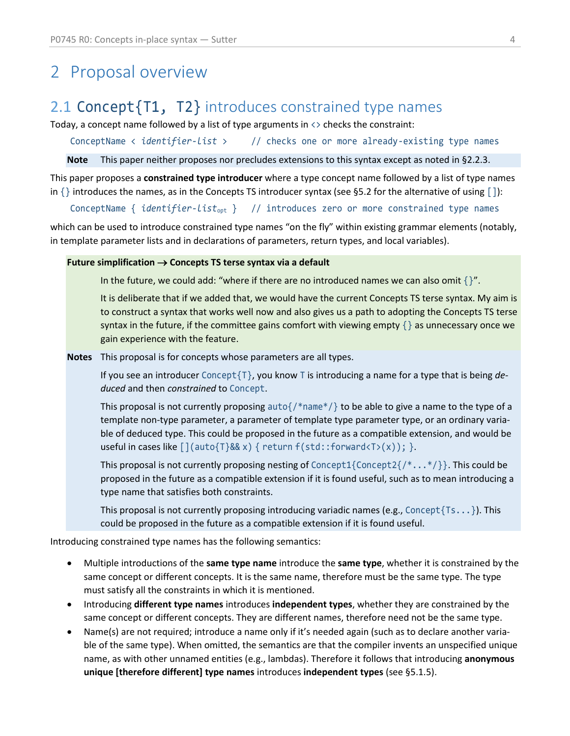# <span id="page-3-0"></span>2 Proposal overview

## <span id="page-3-1"></span>2.1 Concept {T1, T2} introduces constrained type names

Today, a concept name followed by a list of type arguments in  $\leftrightarrow$  checks the constraint:

ConceptName < *identifier-list* > // checks one or more already-existing type names

**Note** This paper neither proposes nor precludes extensions to this syntax except as noted in [§2.2.3.](#page-5-0)

This paper proposes a **constrained type introducer** where a type concept name followed by a list of type names in  $\{\}$  introduces the names, as in the Concepts TS introducer syntax (see [§5.2](#page-24-0) for the alternative of using  $[\ ]$ ):

ConceptName { *identifier-list*opt } // introduces zero or more constrained type names

which can be used to introduce constrained type names "on the fly" within existing grammar elements (notably, in template parameter lists and in declarations of parameters, return types, and local variables).

#### **Future simplification**  $\rightarrow$  **Concepts TS terse syntax via a default**

In the future, we could add: "where if there are no introduced names we can also omit  $\gamma$ ".

It is deliberate that if we added that, we would have the current Concepts TS terse syntax. My aim is to construct a syntax that works well now and also gives us a path to adopting the Concepts TS terse syntax in the future, if the committee gains comfort with viewing empty  $\{\}$  as unnecessary once we gain experience with the feature.

**Notes** This proposal is for concepts whose parameters are all types.

If you see an introducer Concept{T}, you know T is introducing a name for a type that is being *deduced* and then *constrained* to Concept.

This proposal is not currently proposing auto $\{$ /\*name\*/ $\}$  to be able to give a name to the type of a template non-type parameter, a parameter of template type parameter type, or an ordinary variable of deduced type. This could be proposed in the future as a compatible extension, and would be useful in cases like  $\lceil ( \text{auto} \{ T \} \& x ) \{ \text{return } f(\text{std} : \text{forward} \{ T \}(\text{x})); \} \rangle$ .

This proposal is not currently proposing nesting of Concept1{Concept2{ $/*...*/$ }. This could be proposed in the future as a compatible extension if it is found useful, such as to mean introducing a type name that satisfies both constraints.

This proposal is not currently proposing introducing variadic names (e.g., Concept  $\{Ts... \}$ ). This could be proposed in the future as a compatible extension if it is found useful.

Introducing constrained type names has the following semantics:

- Multiple introductions of the **same type name** introduce the **same type**, whether it is constrained by the same concept or different concepts. It is the same name, therefore must be the same type. The type must satisfy all the constraints in which it is mentioned.
- Introducing **different type names** introduces **independent types**, whether they are constrained by the same concept or different concepts. They are different names, therefore need not be the same type.
- Name(s) are not required; introduce a name only if it's needed again (such as to declare another variable of the same type). When omitted, the semantics are that the compiler invents an unspecified unique name, as with other unnamed entities (e.g., lambdas). Therefore it follows that introducing **anonymous unique [therefore different] type names** introduces **independent types** (see [§5.1.5\)](#page-23-0).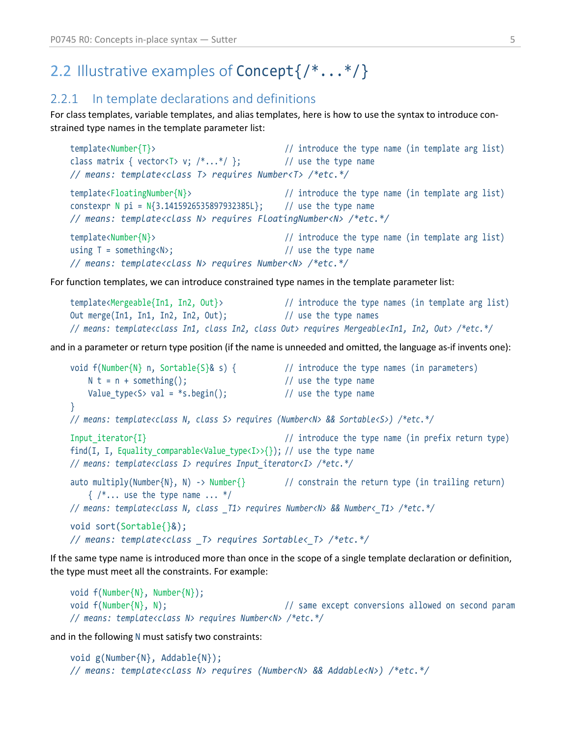# <span id="page-4-0"></span>2.2 Illustrative examples of Concept{/\*...\*/}

### 2.2.1 In template declarations and definitions

For class templates, variable templates, and alias templates, here is how to use the syntax to introduce constrained type names in the template parameter list:

```
template<Number{T}> // introduce the type name (in template arg list)
class matrix { vector<T> v; /*...*/ }; // use the type name
// means: template<class T> requires Number<T> /*etc.*/
template<FloatingNumber{N}> // introduce the type name (in template arg list)
constexpr N pi = N{3.1415926535897932385L}; // use the type name
// means: template<class N> requires FloatingNumber<N> /*etc.*/
template<Number{N}> // introduce the type name (in template arg list)
using T = something<N>; \frac{1}{2} and \frac{1}{2} use the type name
// means: template<class N> requires Number<N> /*etc.*/
```
For function templates, we can introduce constrained type names in the template parameter list:

```
template<Mergeable{In1, In2, Out}> // introduce the type names (in template arg list)
Out merge(In1, In1, In2, In2, Out); // use the type names
// means: template<class In1, class In2, class Out> requires Mergeable<In1, In2, Out> /*etc.*/
```
and in a parameter or return type position (if the name is unneeded and omitted, the language as-if invents one):

```
void f(Number{N} n, Sortable{S}& s) { // introduce the type names (in parameters)
   N t = n + something(); // use the type nameValue_type<S> val = *s.begin(); \frac{1}{2} // use the type name
}
// means: template<class N, class S> requires (Number<N> && Sortable<S>) /*etc.*/
Input iterator{I} \frac{1}{2} // introduce the type name (in prefix return type)
find(I, I, Equality_comparable<Value_type<I>>{}); // use the type name
// means: template<class I> requires Input_iterator<I> /*etc.*/
auto multiply(Number{N}, N) -> Number{} // constrain the return type (in trailing return)
   \{ /^*, \ldots \} use the type name \ldots \frac{*}{*}// means: template<class N, class _T1> requires Number<N> && Number<_T1> /*etc.*/
void sort(Sortable{}&);
// means: template<class _T> requires Sortable<_T> /*etc.*/
```
If the same type name is introduced more than once in the scope of a single template declaration or definition, the type must meet all the constraints. For example:

```
void f(Number{N}, Number{N});
void f(Number{N}, N); \frac{1}{2} same except conversions allowed on second param
// means: template<class N> requires Number<N> /*etc.*/
```
and in the following N must satisfy two constraints:

```
void g(Number{N}, Addable{N});
// means: template<class N> requires (Number<N> && Addable<N>) /*etc.*/
```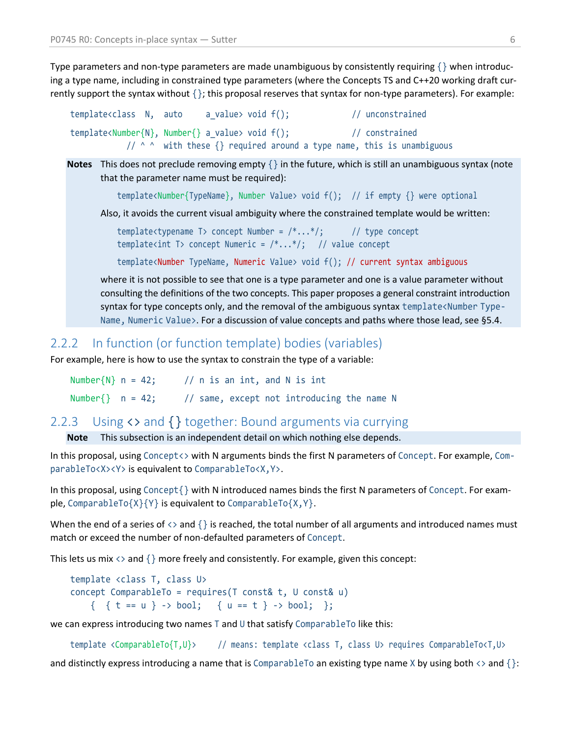Type parameters and non-type parameters are made unambiguous by consistently requiring  $\{\}$  when introducing a type name, including in constrained type parameters (where the Concepts TS and C++20 working draft currently support the syntax without {}; this proposal reserves that syntax for non-type parameters). For example:

```
template<class N, auto a_value> void f(); // unconstrained
template<Number{N}, Number{} a_value> void f(); // constrained
          1/ ^ ^ with these \{\} required around a type name, this is unambiguous
```
**Notes** This does not preclude removing empty  $\{\}$  in the future, which is still an unambiguous syntax (note that the parameter name must be required):

template<Number{TypeName}, Number Value> void f(); // if empty {} were optional

Also, it avoids the current visual ambiguity where the constrained template would be written:

template<typename T> concept Number =  $/*...*/;$  // type concept template<int T> concept Numeric =  $/*...*/;$  // value concept

template<Number TypeName, Numeric Value> void f(); // current syntax ambiguous

where it is not possible to see that one is a type parameter and one is a value parameter without consulting the definitions of the two concepts. This paper proposes a general constraint introduction syntax for type concepts only, and the removal of the ambiguous syntax template<Number Type-Name, Numeric Value>. For a discussion of value concepts and paths where those lead, see [§5.4.](#page-26-0)

#### 2.2.2 In function (or function template) bodies (variables)

For example, here is how to use the syntax to constrain the type of a variable:

Number $\{N\}$  n = 42; // n is an int, and N is int Number $\{\}$  n = 42; // same, except not introducing the name N

### <span id="page-5-0"></span>2.2.3 Using <> and {} together: Bound arguments via currying

**Note** This subsection is an independent detail on which nothing else depends.

In this proposal, using Concept<> with N arguments binds the first N parameters of Concept. For example, ComparableTo<X><Y> is equivalent to ComparableTo<X,Y>.

In this proposal, using Concept{} with N introduced names binds the first N parameters of Concept. For example, ComparableTo{X}{Y} is equivalent to ComparableTo{X,Y}.

When the end of a series of  $\langle \rangle$  and  $\{\}$  is reached, the total number of all arguments and introduced names must match or exceed the number of non-defaulted parameters of Concept.

This lets us mix  $\langle \rangle$  and  $\{\}$  more freely and consistently. For example, given this concept:

```
template <class T, class U>
concept ComparableTo = requires(T const& t, U const& u)
    { { f \in = u } > 0 bool; { u = = t } > 0 bool; };
```
we can express introducing two names T and U that satisfy ComparableTo like this:

```
template <ComparableTo{T,U}> // means: template <class T, class U> requires ComparableTo<T,U>
```
and distinctly express introducing a name that is ComparableTo an existing type name X by using both  $\langle \cdot \rangle$  and  $\{\cdot\}$ :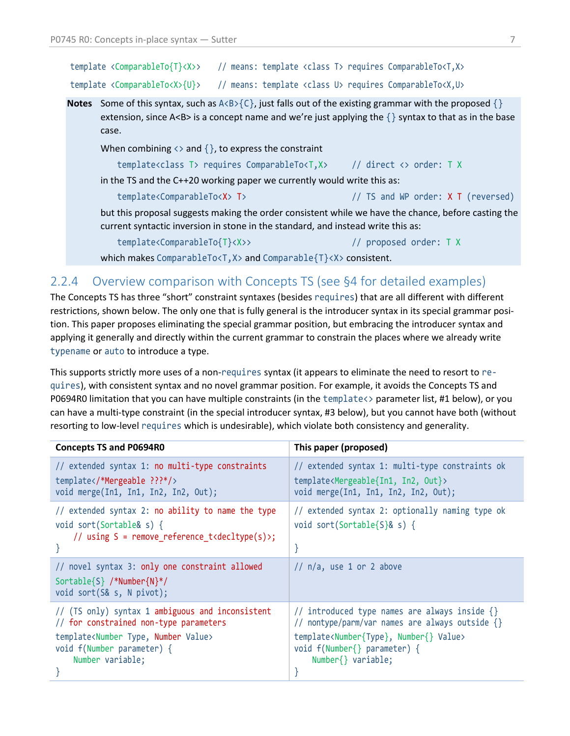| template <comparableto{t}<x>&gt;</comparableto{t}<x> |  |  |  | // means: template <class t=""> requires ComparableTo<t,x></t,x></class> |
|------------------------------------------------------|--|--|--|--------------------------------------------------------------------------|
| template <comparableto<x>{U}&gt;</comparableto<x>    |  |  |  | // means: template <class u=""> requires ComparableTo<x,u></x,u></class> |

**Notes** Some of this syntax, such as  $A \triangle B \angle \{C\}$ , just falls out of the existing grammar with the proposed  $\{\}$ extension, since A<B> is a concept name and we're just applying the  $\{\}$  syntax to that as in the base case.

When combining  $\langle \rangle$  and  $\{\}$ , to express the constraint

```
template<class T> requires ComparableTo<T,X> // direct <> order: T X
```
in the TS and the C++20 working paper we currently would write this as:

template<ComparableTo<X> T> // TS and WP order: X T (reversed)

but this proposal suggests making the order consistent while we have the chance, before casting the current syntactic inversion in stone in the standard, and instead write this as:

template<ComparableTo{T}<X>> // proposed order: T X

which makes ComparableTo<T,X> and Comparable{T}<X> consistent.

### <span id="page-6-0"></span>2.2.4 Overview comparison with Concepts TS (see [§4](#page-16-0) for detailed examples)

The Concepts TS has three "short" constraint syntaxes (besides requires) that are all different with different restrictions, shown below. The only one that is fully general is the introducer syntax in its special grammar position. This paper proposes eliminating the special grammar position, but embracing the introducer syntax and applying it generally and directly within the current grammar to constrain the places where we already write typename or auto to introduce a type.

This supports strictly more uses of a non-requires syntax (it appears to eliminate the need to resort to requires), with consistent syntax and no novel grammar position. For example, it avoids the Concepts TS and P0694R0 limitation that you can have multiple constraints (in the template<> parameter list, #1 below), or you can have a multi-type constraint (in the special introducer syntax, #3 below), but you cannot have both (without resorting to low-level requires which is undesirable), which violate both consistency and generality.

| <b>Concepts TS and P0694R0</b>                                                                           | This paper (proposed)                                         |
|----------------------------------------------------------------------------------------------------------|---------------------------------------------------------------|
| // extended syntax 1: no multi-type constraints                                                          | // extended syntax 1: multi-type constraints ok               |
| template *Mergeable ???*/                                                                                | template <mergeable{in1, in2,="" out}=""></mergeable{in1,>    |
| void merge(In1, In1, In2, In2, Out);                                                                     | void merge(In1, In1, In2, In2, Out);                          |
| // extended syntax 2: no ability to name the type                                                        | // extended syntax 2: optionally naming type ok               |
| void sort(Sortable& s) {                                                                                 | void sort(Sortable{S}& s) {                                   |
| // using S = remove reference t <decltype(s)>;</decltype(s)>                                             | $\}$                                                          |
| // novel syntax 3: only one constraint allowed<br>Sortable{S} /*Number{N}*/<br>void sort(S& s, N pivot); | $//$ n/a, use 1 or 2 above                                    |
| // (TS only) syntax 1 ambiguous and inconsistent                                                         | // introduced type names are always inside {}                 |
| // for constrained non-type parameters                                                                   | // nontype/parm/var names are always outside {}               |
| template <number number="" type,="" value=""></number>                                                   | template <number{type}, number{}="" value=""></number{type},> |
| void f(Number parameter) {                                                                               | void f(Number{} parameter) {                                  |
| Number variable;                                                                                         | Number{} variable;                                            |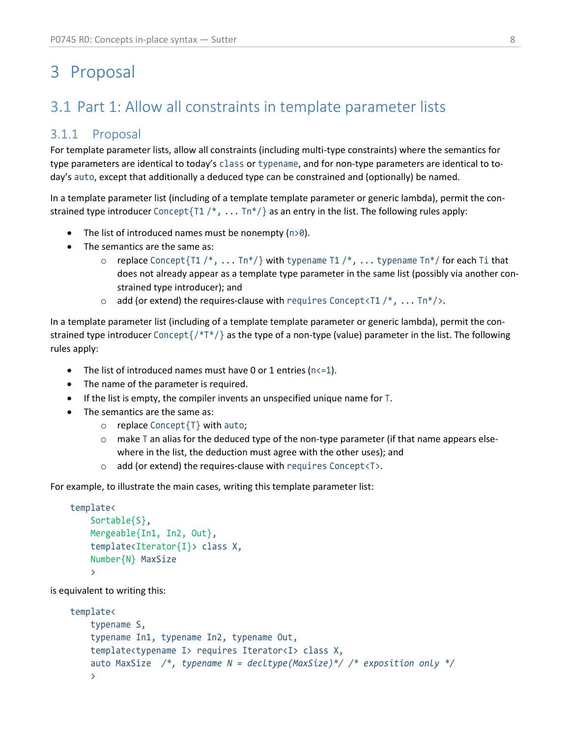# <span id="page-7-0"></span>3 Proposal

# <span id="page-7-1"></span>3.1 Part 1: Allow all constraints in template parameter lists

### 3.1.1 Proposal

For template parameter lists, allow all constraints (including multi-type constraints) where the semantics for type parameters are identical to today's class or typename, and for non-type parameters are identical to today's auto, except that additionally a deduced type can be constrained and (optionally) be named.

In a template parameter list (including of a template template parameter or generic lambda), permit the constrained type introducer Concept $\{T1 / *, \ldots Tn*/\}$  as an entry in the list. The following rules apply:

- The list of introduced names must be nonempty  $(n>0)$ .
- The semantics are the same as:
	- $\circ$  replace Concept{T1 /\*, ... Tn\*/} with typename T1 /\*, ... typename Tn\*/ for each Ti that does not already appear as a template type parameter in the same list (possibly via another constrained type introducer); and
	- $\circ$  add (or extend) the requires-clause with requires Concept<T1 /\*, ... Tn\*/>.

In a template parameter list (including of a template template parameter or generic lambda), permit the constrained type introducer Concept{/\*T\*/} as the type of a non-type (value) parameter in the list. The following rules apply:

- The list of introduced names must have 0 or 1 entries ( $n \le 1$ ).
- The name of the parameter is required.
- If the list is empty, the compiler invents an unspecified unique name for T.
- The semantics are the same as:
	- o replace Concept{T} with auto;
	- $\circ$  make T an alias for the deduced type of the non-type parameter (if that name appears elsewhere in the list, the deduction must agree with the other uses); and
	- o add (or extend) the requires-clause with requires Concept<T>.

For example, to illustrate the main cases, writing this template parameter list:

```
template<
     Sortable{S},
     Mergeable{In1, In2, Out},
     template<Iterator{I}> class X,
     Number{N} MaxSize
     >
```
is equivalent to writing this:

```
template<
     typename S,
     typename In1, typename In2, typename Out,
     template<typename I> requires Iterator<I> class X,
     auto MaxSize /*, typename N = decltype(MaxSize)*/ /* exposition only */
     >
```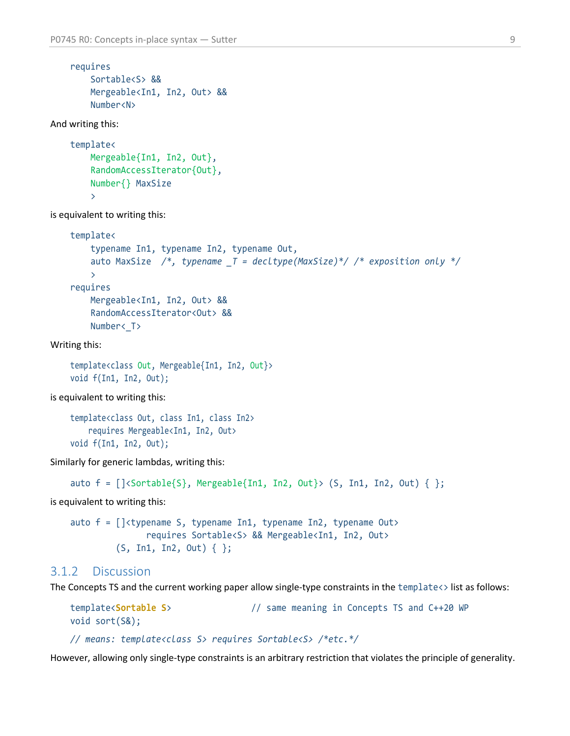```
requires
     Sortable<S> &&
     Mergeable<In1, In2, Out> &&
     Number<N>
```
And writing this:

```
template<
     Mergeable{In1, In2, Out},
     RandomAccessIterator{Out},
     Number{} MaxSize
     \mathbf{\Sigma}
```
is equivalent to writing this:

```
template<
     typename In1, typename In2, typename Out,
     auto MaxSize /*, typename _T = decltype(MaxSize)*/ /* exposition only */
    \mathbf{r}requires
     Mergeable<In1, In2, Out> &&
     RandomAccessIterator<Out> &&
    Number< T>
```
Writing this:

```
template<class Out, Mergeable{In1, In2, Out}>
void f(In1, In2, Out);
```
is equivalent to writing this:

```
template<class Out, class In1, class In2>
     requires Mergeable<In1, In2, Out>
void f(In1, In2, Out);
```
Similarly for generic lambdas, writing this:

```
auto f = []\langleSortable(S), Mergeable\{In1, In2, Out\} (S, In1, In2, Out) \{ \};
```
is equivalent to writing this:

```
auto f = \int \frac{1}{\t{kyp}}ename S, typename In1, typename In2, typename Out>
                  requires Sortable<S> && Mergeable<In1, In2, Out>
           (S, In1, In2, Out) { };
```
#### <span id="page-8-0"></span>3.1.2 Discussion

The Concepts TS and the current working paper allow single-type constraints in the  $template \leftrightarrow list$  as follows:

```
template<Sortable S> // same meaning in Concepts TS and C++20 WP
void sort(S&);
```
*// means: template<class S> requires Sortable<S> /\*etc.\*/*

However, allowing only single-type constraints is an arbitrary restriction that violates the principle of generality.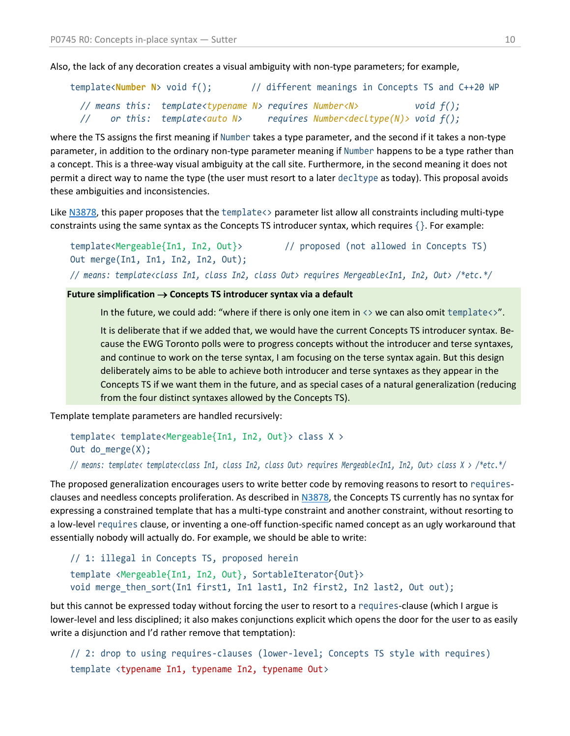Also, the lack of any decoration creates a visual ambiguity with non-type parameters; for example,

|  | template <number n=""> void f();</number>                                 |  | // different meanings in Concepts TS and C++20 WP |  |              |  |
|--|---------------------------------------------------------------------------|--|---------------------------------------------------|--|--------------|--|
|  | // means this: template <typename n=""> requires Number<n></n></typename> |  |                                                   |  | void $f()$ ; |  |
|  | or this: template <auto n=""></auto>                                      |  | requires $Number <$ decltype(N)> void $f()$ ;     |  |              |  |

where the TS assigns the first meaning if Number takes a type parameter, and the second if it takes a non-type parameter, in addition to the ordinary non-type parameter meaning if Number happens to be a type rather than a concept. This is a three-way visual ambiguity at the call site. Furthermore, in the second meaning it does not permit a direct way to name the type (the user must resort to a later decltype as today). This proposal avoids these ambiguities and inconsistencies.

Like [N3878,](https://wg21.link/n3878) this paper proposes that the template<> parameter list allow all constraints including multi-type constraints using the same syntax as the Concepts TS introducer syntax, which requires {}. For example:

```
template<Mergeable{In1, In2, Out}> // proposed (not allowed in Concepts TS)
Out merge(In1, In1, In2, In2, Out);
// means: template<class In1, class In2, class Out> requires Mergeable<In1, In2, Out> /*etc.*/
```
**Future simplification**  $\rightarrow$  **Concepts TS introducer syntax via a default** 

In the future, we could add: "where if there is only one item in  $\langle \rangle$  we can also omit template $\langle \rangle$ ".

It is deliberate that if we added that, we would have the current Concepts TS introducer syntax. Because the EWG Toronto polls were to progress concepts without the introducer and terse syntaxes, and continue to work on the terse syntax, I am focusing on the terse syntax again. But this design deliberately aims to be able to achieve both introducer and terse syntaxes as they appear in the Concepts TS if we want them in the future, and as special cases of a natural generalization (reducing from the four distinct syntaxes allowed by the Concepts TS).

Template template parameters are handled recursively:

```
template< template<Mergeable{In1, In2, Out}> class X >
Out do_merge(X);
```
*// means: template< template<class In1, class In2, class Out> requires Mergeable<In1, In2, Out> class X > /\*etc.\*/*

The proposed generalization encourages users to write better code by removing reasons to resort to requiresclauses and needless concepts proliferation. As described in [N3878,](https://wg21.link/n3878) the Concepts TS currently has no syntax for expressing a constrained template that has a multi-type constraint and another constraint, without resorting to a low-level requires clause, or inventing a one-off function-specific named concept as an ugly workaround that essentially nobody will actually do. For example, we should be able to write:

```
// 1: illegal in Concepts TS, proposed herein
template <Mergeable{In1, In2, Out}, SortableIterator{Out}>
void merge_then_sort(In1 first1, In1 last1, In2 first2, In2 last2, Out out);
```
but this cannot be expressed today without forcing the user to resort to a requires-clause (which I argue is lower-level and less disciplined; it also makes conjunctions explicit which opens the door for the user to as easily write a disjunction and I'd rather remove that temptation):

```
// 2: drop to using requires-clauses (lower-level; Concepts TS style with requires)
template <typename In1, typename In2, typename Out>
```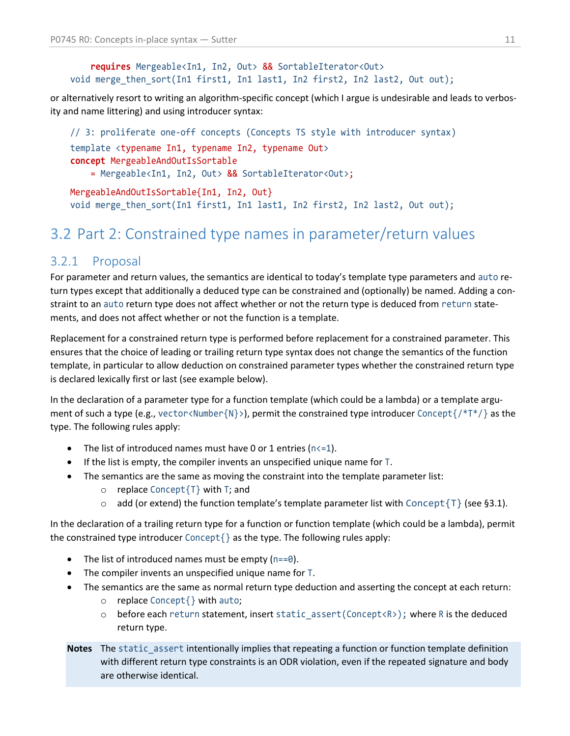#### **requires** Mergeable<In1, In2, Out> && SortableIterator<Out> void merge\_then\_sort(In1 first1, In1 last1, In2 first2, In2 last2, Out out);

or alternatively resort to writing an algorithm-specific concept (which I argue is undesirable and leads to verbosity and name littering) and using introducer syntax:

```
// 3: proliferate one-off concepts (Concepts TS style with introducer syntax)
template <typename In1, typename In2, typename Out>
concept MergeableAndOutIsSortable 
     = Mergeable<In1, In2, Out> && SortableIterator<Out>;
MergeableAndOutIsSortable{In1, In2, Out}
void merge_then_sort(In1 first1, In1 last1, In2 first2, In2 last2, Out out);
```
# <span id="page-10-0"></span>3.2 Part 2: Constrained type names in parameter/return values

### 3.2.1 Proposal

For parameter and return values, the semantics are identical to today's template type parameters and auto return types except that additionally a deduced type can be constrained and (optionally) be named. Adding a constraint to an auto return type does not affect whether or not the return type is deduced from return statements, and does not affect whether or not the function is a template.

Replacement for a constrained return type is performed before replacement for a constrained parameter. This ensures that the choice of leading or trailing return type syntax does not change the semantics of the function template, in particular to allow deduction on constrained parameter types whether the constrained return type is declared lexically first or last (see example below).

In the declaration of a parameter type for a function template (which could be a lambda) or a template argument of such a type (e.g., vector<Number{N}>), permit the constrained type introducer Concept{/\*T\*/} as the type. The following rules apply:

- The list of introduced names must have 0 or 1 entries ( $n \le 1$ ).
- If the list is empty, the compiler invents an unspecified unique name for T.
- The semantics are the same as moving the constraint into the template parameter list:
	- o replace Concept{T} with T; and
	- $\circ$  add (or extend) the function template's template parameter list with Concept {T} (see [§3.1\)](#page-7-1).

In the declaration of a trailing return type for a function or function template (which could be a lambda), permit the constrained type introducer Concept{} as the type. The following rules apply:

- The list of introduced names must be empty  $(n == 0)$ .
- The compiler invents an unspecified unique name for T.
- The semantics are the same as normal return type deduction and asserting the concept at each return:
	- o replace Concept{} with auto;
	- o before each return statement, insert static\_assert(Concept<R>); where R is the deduced return type.
- **Notes** The static assert intentionally implies that repeating a function or function template definition with different return type constraints is an ODR violation, even if the repeated signature and body are otherwise identical.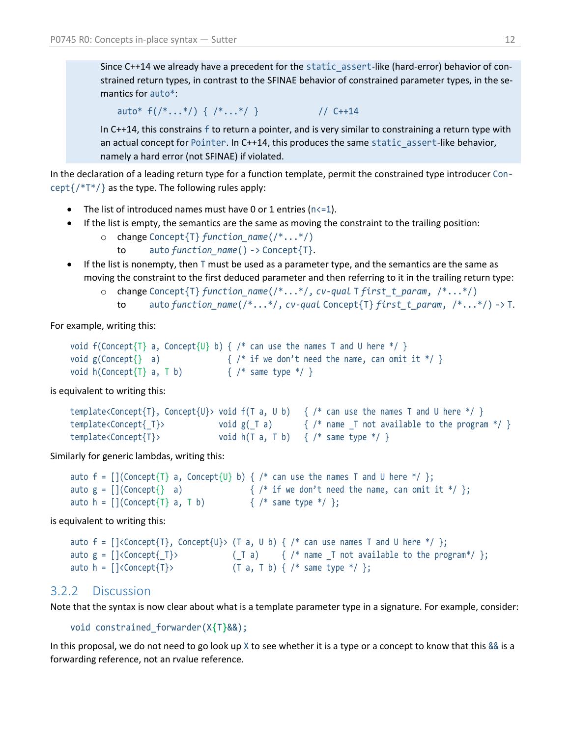Since C++14 we already have a precedent for the static\_assert-like (hard-error) behavior of constrained return types, in contrast to the SFINAE behavior of constrained parameter types, in the semantics for auto\*:

```
auto* f('*,..*)') { '*,..*'} } // C++14
```
In C++14, this constrains f to return a pointer, and is very similar to constraining a return type with an actual concept for Pointer. In C++14, this produces the same static assert-like behavior, namely a hard error (not SFINAE) if violated.

In the declaration of a leading return type for a function template, permit the constrained type introducer Concept $\{$ /\*T\*/ $\}$  as the type. The following rules apply:

- The list of introduced names must have 0 or 1 entries ( $n \le 1$ ).
- If the list is empty, the semantics are the same as moving the constraint to the trailing position:
	- o change Concept{T} *function\_name*(/\*...\*/)
		- to auto *function\_name*() -> Concept{T}.
- If the list is nonempty, then T must be used as a parameter type, and the semantics are the same as moving the constraint to the first deduced parameter and then referring to it in the trailing return type:
	- o change Concept{T} *function\_name*(/\*...\*/, *cv-qual* T *first\_t\_param*, /\*...\*/)
		- to auto *function\_name*(/\*...\*/, *cv-qual* Concept{T} *first\_t\_param*, /\*...\*/) -> T.

For example, writing this:

```
void f(Concept{T} a, Concept{U} b) { /* can use the names T and U here */ }
void g(Concept{}' a) {}/* if we don't need the name, can omit it */ }
void h(Concept{T} a, T b) \{ / * same type */ }
```
is equivalent to writing this:

```
template<Concept{T}, Concept{U}> void f(T a, U b) { /* can use the names T and U here */ }
template<Concept{_T}> void g(_T a) { /* name _T not available to the program */ }
template<Concept{T}> void h(T a, T b) { /* same type */ }
```
Similarly for generic lambdas, writing this:

```
auto f = [ (Concept{T} a, Concept{U} b) { /* can use the names T and U here */ };
auto g = \left[ \begin{matrix} \text{(Concept} \} & a \end{matrix} \right] \left\{ \begin{matrix} /^* & \text{if we don't need the name, can omit it */ } \end{matrix} \right\}auto h = [](Concept\{T\} a, T b) \{ /* same type */ \};
```
is equivalent to writing this:

```
auto f = [\langle\text{Concept}\{T\}, \text{Concept}\{U\}\rangle \ (T a, U b) \ {/*} can use names T and U here */ };
auto g = []<Concept{_T}> (_T a) { /* name _T not available to the program*/ };
auto h = [\langle\text{Concept}\{\textsf{T}\}\rangle \qquad \qquad (\textsf{T a, T b})\ \{\ \texttt{\texttt{'}s} \text{ same type * \texttt{\texttt{'}}}\}\}
```
#### 3.2.2 Discussion

Note that the syntax is now clear about what is a template parameter type in a signature. For example, consider:

```
void constrained_forwarder(X{T}&&);
```
In this proposal, we do not need to go look up  $X$  to see whether it is a type or a concept to know that this  $\&&$  is a forwarding reference, not an rvalue reference.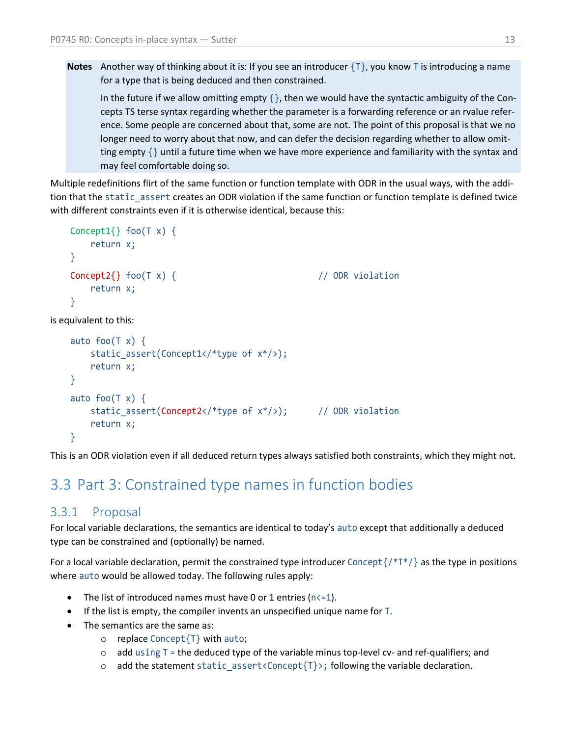**Notes** Another way of thinking about it is: If you see an introducer  $\{T\}$ , you know T is introducing a name for a type that is being deduced and then constrained.

In the future if we allow omitting empty  $\{\}$ , then we would have the syntactic ambiguity of the Concepts TS terse syntax regarding whether the parameter is a forwarding reference or an rvalue reference. Some people are concerned about that, some are not. The point of this proposal is that we no longer need to worry about that now, and can defer the decision regarding whether to allow omitting empty  $\{\}$  until a future time when we have more experience and familiarity with the syntax and may feel comfortable doing so.

Multiple redefinitions flirt of the same function or function template with ODR in the usual ways, with the addition that the static\_assert creates an ODR violation if the same function or function template is defined twice with different constraints even if it is otherwise identical, because this:

```
Concept1\{\} foo(T x) \{ return x;
   }
   Concept2{} foo(T x) { // ODR violation
        return x;
   }
is equivalent to this:
   auto foo(T x) {
       static assert(Concept1</*type of x*/);
        return x;
   }
   auto foo(T x) {
       static assert(Concept2</*type of x*/); // ODR violation
        return x;
```
This is an ODR violation even if all deduced return types always satisfied both constraints, which they might not.

## <span id="page-12-0"></span>3.3 Part 3: Constrained type names in function bodies

### 3.3.1 Proposal

}

For local variable declarations, the semantics are identical to today's auto except that additionally a deduced type can be constrained and (optionally) be named.

For a local variable declaration, permit the constrained type introducer Concept $\{$ /\*T\*/ $\}$  as the type in positions where auto would be allowed today. The following rules apply:

- The list of introduced names must have 0 or 1 entries ( $n \le 1$ ).
- If the list is empty, the compiler invents an unspecified unique name for T.
- The semantics are the same as:
	- o replace Concept{T} with auto;
	- $\circ$  add using T = the deduced type of the variable minus top-level cv- and ref-qualifiers; and
	- $\circ$  add the statement static\_assert<Concept{T}>; following the variable declaration.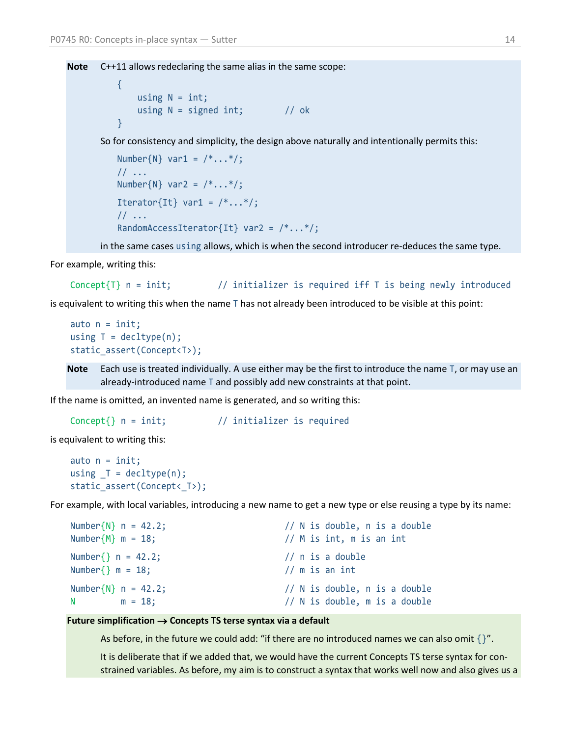**Note** C++11 allows redeclaring the same alias in the same scope:

{ using  $N = int;$ using  $N =$  signed int;  $// ok$ }

So for consistency and simplicity, the design above naturally and intentionally permits this:

```
Number\{N\} var1 = /*...*/;1/ ...
Number\{N\} var2 = /*...*/;Iterator{It} var1 = /*...*/;// ...
RandomAccessIterator{It} var2 = /*...*/;
```
in the same cases using allows, which is when the second introducer re-deduces the same type.

For example, writing this:

```
Concept\{T\} n = init; // initializer is required iff T is being newly introduced
```
is equivalent to writing this when the name T has not already been introduced to be visible at this point:

```
auto n = init;using T = \text{decltype}(n);
static_assert(Concept<T>);
```
**Note** Each use is treated individually. A use either may be the first to introduce the name T, or may use an already-introduced name T and possibly add new constraints at that point.

If the name is omitted, an invented name is generated, and so writing this:

Concept{} n = init; // initializer is required

is equivalent to writing this:

auto  $n = init;$ using  $T = \text{decltype}(n)$ ; static assert(Concept< T>);

For example, with local variables, introducing a new name to get a new type or else reusing a type by its name:

| Number $\{N\}$ n = 42.2;                                                                                                                                                                                                                     | $//$ N is double, n is a double      |
|----------------------------------------------------------------------------------------------------------------------------------------------------------------------------------------------------------------------------------------------|--------------------------------------|
| Number $\{M\}$ m = 18;                                                                                                                                                                                                                       | $//$ M is int, m is an int           |
| Number $\}$ n = 42.2;<br>Number $\}$ m = 18;                                                                                                                                                                                                 | $//$ n is a double<br>// m is an int |
| Number $\{N\}$ n = 42.2;                                                                                                                                                                                                                     | // N is double, n is a double        |
| N and the state of the state of the state of the state of the state of the state of the state of the state of the state of the state of the state of the state of the state of the state of the state of the state of the stat<br>$m = 18$ : | // N is double, m is a double        |

#### **Future simplification**  $\rightarrow$  **Concepts TS terse syntax via a default**

As before, in the future we could add: "if there are no introduced names we can also omit  $\{$ '.

It is deliberate that if we added that, we would have the current Concepts TS terse syntax for constrained variables. As before, my aim is to construct a syntax that works well now and also gives us a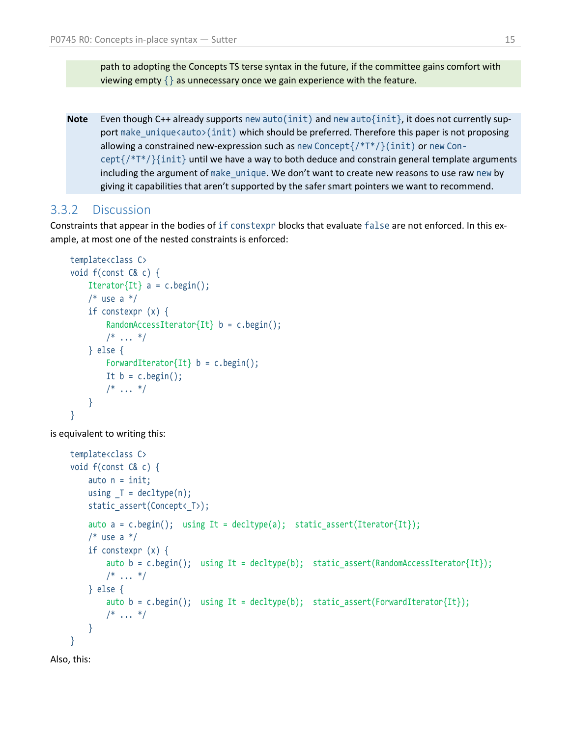path to adopting the Concepts TS terse syntax in the future, if the committee gains comfort with viewing empty  $\{\}$  as unnecessary once we gain experience with the feature.

**Note** Even though C++ already supports new auto(init) and new auto{init}, it does not currently support make\_unique<auto>(init) which should be preferred. Therefore this paper is not proposing allowing a constrained new-expression such as new Concept $\frac{f(*T^*}{\hat{I}^T*)}$  (init) or new Con $cept://*T*/}{int$  until we have a way to both deduce and constrain general template arguments including the argument of make unique. We don't want to create new reasons to use raw new by giving it capabilities that aren't supported by the safer smart pointers we want to recommend.

#### 3.3.2 Discussion

Constraints that appear in the bodies of if constexpr blocks that evaluate false are not enforced. In this example, at most one of the nested constraints is enforced:

```
template<class C>
void f(const C& c) {
    Iterator\{It\} a = c.begin();
    /* use a */ if constexpr (x) {
        RandomAccessIterator{It} b = c.begin();
        /* ... */
     } else {
        ForwardIterator{It} b = c.\text{begin} ();
        It b = c.\text{begin}();
        /* ... */
     }
}
```
is equivalent to writing this:

```
template<class C>
void f(const C& c) {
       auto n = init;using T = \text{decltype}(n);
        static_assert(Concept<_T>);
       auto a = c.\text{begin} \text{begin}} \text{begin}} \text{begin}} \text{begin}} \text{begin}} \text{begin}} \text{begin}} \text{begin}} \text{begin}} \text{begin}} \text{begin}} \text{begin}} \text{begin}} \text{begin}} \text{begin}} \text{begin}} \text{begin}} \text{begin}} \text{begin}} \text{aligned}} \text{begin}} \text{aligned}} \text{aligned}} \text{aligned}} \text{aligned}} \text{aligned/* use a */ if constexpr (x) {
              auto b = c.\text{begin}; using It = decltype(b); static assert(RandomAccessIterator{It});
              /* ... */
        } else {
              auto b = c.begin(); using It = decltype(b); static assert(ForwardIterator{It});
              /* ... */
        }
}
```

```
Also, this:
```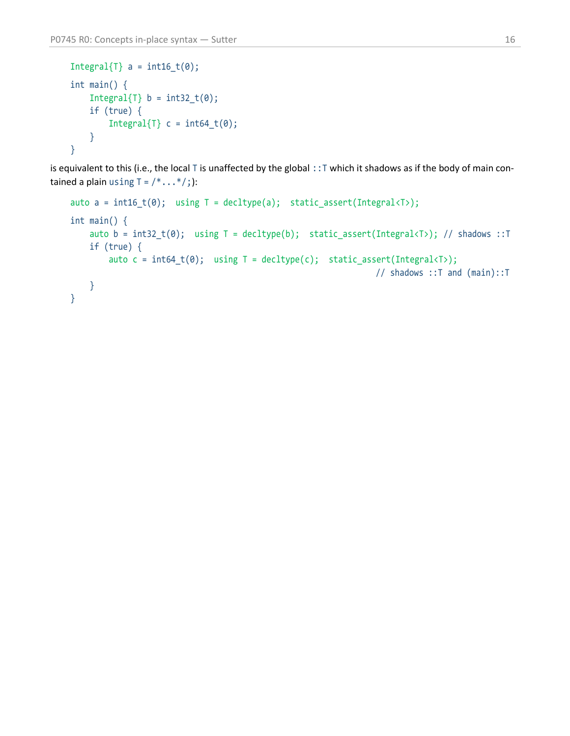```
Integral\{T\} a = int16_t(0);
int main() {
    Integral\{T\} b = int32_t(0);
    if (true) {
        Integral{T} c = int64_t(0); }
}
```
is equivalent to this (i.e., the local T is unaffected by the global ::T which it shadows as if the body of main contained a plain using  $T = \frac{\cancel{(}^* \cdot \cdot \cdot \cancel{(})^* \cdot \cancel{(}})}$ 

```
auto a = int16_t(0); using T = decltype(a); static_assert(Integral<T>);
int main() {
    auto b = int32_t(0); using T = decltype(b); static_assert(Integral<T>); // shadows ::T
    if (true) {
        auto c = int64_t(0); using T = detType(c); static_assert(Integral<T>);
                                                                // shadows ::T and (main)::T
     }
}
```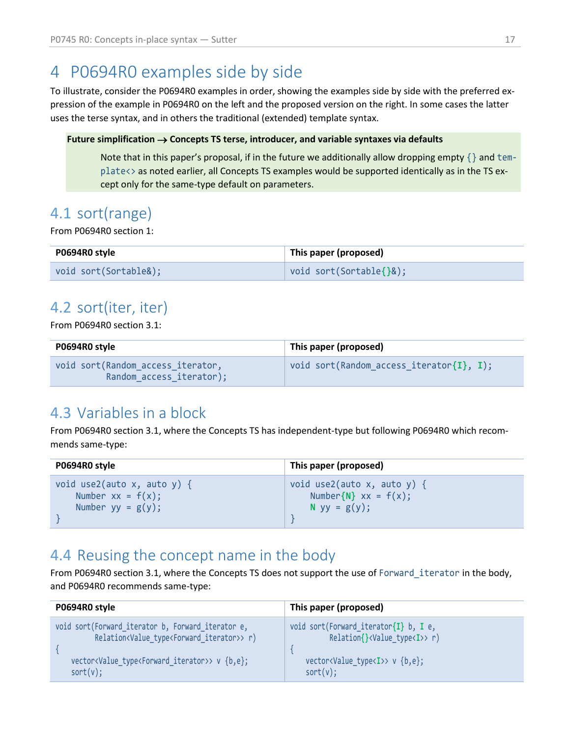# <span id="page-16-0"></span>4 P0694R0 examples side by side

To illustrate, consider the P0694R0 examples in order, showing the examples side by side with the preferred expression of the example in P0694R0 on the left and the proposed version on the right. In some cases the latter uses the terse syntax, and in others the traditional (extended) template syntax.

#### Future simplification  $\rightarrow$  Concepts TS terse, introducer, and variable syntaxes via defaults

Note that in this paper's proposal, if in the future we additionally allow dropping empty  $\{\}$  and template<> as noted earlier, all Concepts TS examples would be supported identically as in the TS except only for the same-type default on parameters.

### <span id="page-16-1"></span>4.1 sort(range)

From P0694R0 section 1:

| P0694R0 style         | This paper (proposed)                |
|-----------------------|--------------------------------------|
| void sort(Sortable&); | $\mid$ void sort(Sortable $\{\}$ &); |

## <span id="page-16-2"></span>4.2 sort(iter, iter)

From P0694R0 section 3.1:

| P0694R0 style                                                  | This paper (proposed)                          |
|----------------------------------------------------------------|------------------------------------------------|
| void sort (Random access iterator,<br>Random access iterator); | void sort(Random access iterator $\{I\}$ , I); |

# <span id="page-16-3"></span>4.3 Variables in a block

From P0694R0 section 3.1, where the Concepts TS has independent-type but following P0694R0 which recommends same-type:

| P0694R0 style                  | This paper (proposed)        |
|--------------------------------|------------------------------|
| void use2(auto x, auto y) $\{$ | void use2(auto x, auto y) {  |
| Number $xx = f(x)$ ;           | Number $\{N\}$ xx = $f(x)$ ; |
| Number $yy = g(y)$ ;           | N $yy = g(y)$ ;              |

## <span id="page-16-4"></span>4.4 Reusing the concept name in the body

From P0694R0 section 3.1, where the Concepts TS does not support the use of Forward\_iterator in the body, and P0694R0 recommends same-type:

| P0694R0 style                                                                   | This paper (proposed)                             |
|---------------------------------------------------------------------------------|---------------------------------------------------|
| void sort(Forward iterator b, Forward iterator e,                               | void sort(Forward iterator $\{I\}$ b, I e,        |
| Relation <value iterator="" type<forward="">&gt; r)</value>                     | $Relation\{\}\langle Value type < I \rangle > r)$ |
| vector <value_type<forward_iterator>&gt; v {b,e};</value_type<forward_iterator> | vector <value type<i="">&gt; v {b,e};</value>     |
| $sort(v)$ ;                                                                     | $sort(v)$ ;                                       |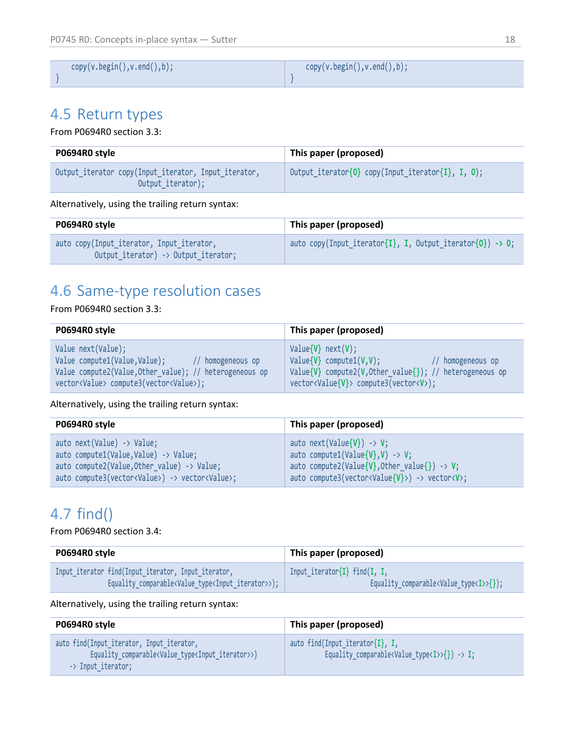| copy(v.begin(),v.end(),b); | copy(v.begin(),v.end(),b); |
|----------------------------|----------------------------|
|                            |                            |

## <span id="page-17-0"></span>4.5 Return types

From P0694R0 section 3.3:

| P0694R0 style                                                             | This paper (proposed)                             |
|---------------------------------------------------------------------------|---------------------------------------------------|
| Output iterator copy(Input iterator, Input iterator,<br>Output iterator); | Output_iterator{0} copy(Input_iterator{I}, I, 0); |

#### Alternatively, using the trailing return syntax:

| P0694R0 style                                                                     | This paper (proposed)                                     |
|-----------------------------------------------------------------------------------|-----------------------------------------------------------|
| auto copy(Input iterator, Input iterator,<br>Output iterator) -> Output iterator; | auto copy(Input_iterator{I}, I, Output_iterator{0}) -> 0; |

# <span id="page-17-1"></span>4.6 Same-type resolution cases

#### From P0694R0 section 3.3:

| P0694R0 style                                           | This paper (proposed)                                    |
|---------------------------------------------------------|----------------------------------------------------------|
| Value next(Value);                                      | $Value{V}$ next $(V)$ ;                                  |
| Value compute1(Value,Value);                            | $Value{V}$ compute1( $V, V$ );                           |
| // homogeneous op                                       | // homogeneous op                                        |
| Value compute2(Value, Other value); // heterogeneous op | Value{V} compute2(V, Other_value{}); // heterogeneous op |
| vector <value> compute3(vector<value>);</value></value> | vector <value{v}> compute3(vector<v>);</v></value{v}>    |

Alternatively, using the trailing return syntax:

| P0694R0 style                                                      | This paper (proposed)                                            |
|--------------------------------------------------------------------|------------------------------------------------------------------|
| auto next(Value) -> Value;                                         | auto next(Value{V}) -> V;                                        |
| auto compute1(Value,Value) -> Value;                               | auto compute1(Value{V},V) -> V;                                  |
| auto compute2(Value, Other value) -> Value;                        | auto compute2(Value{V}, Other value{}) -> V;                     |
| auto compute3(vector <value>) -&gt; vector<value>;</value></value> | auto compute3(vector <value{v}>) -&gt; vector<v>;</v></value{v}> |

# <span id="page-17-2"></span>4.7 find()

From P0694R0 section 3.4:

| Input iterator $\{I\}$ find(I, I,<br>Equality comparable <value type<i="">&gt;{});</value> |
|--------------------------------------------------------------------------------------------|
|                                                                                            |

Alternatively, using the trailing return syntax:

| P0694R0 style                                                                                                                                           | This paper (proposed)                                                                            |
|---------------------------------------------------------------------------------------------------------------------------------------------------------|--------------------------------------------------------------------------------------------------|
| auto find(Input iterator, Input iterator,<br>Equality_comparable <value_type<input_iterator>&gt;)<br/>-&gt; Input iterator;</value_type<input_iterator> | auto find(Input iterator{I}, I,<br>Equality comparable <value type<i="">&gt;{}) -&gt; I;</value> |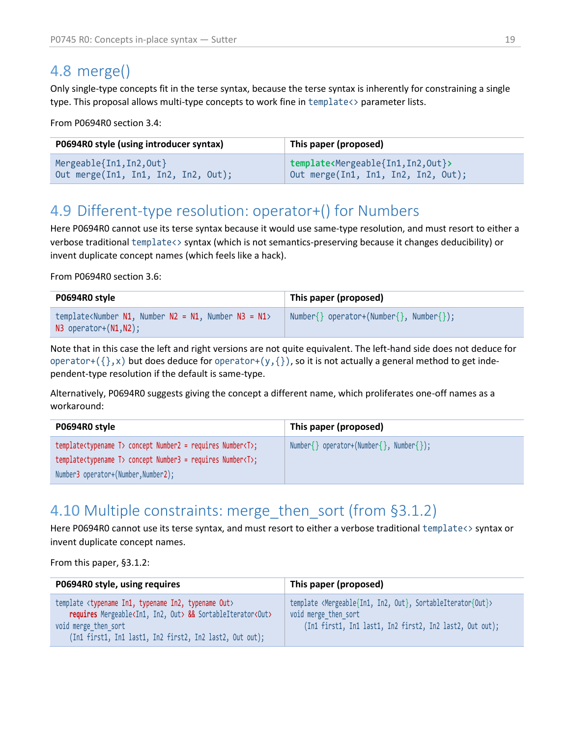### <span id="page-18-0"></span>4.8 merge()

Only single-type concepts fit in the terse syntax, because the terse syntax is inherently for constraining a single type. This proposal allows multi-type concepts to work fine in template<> parameter lists.

From P0694R0 section 3.4:

| P0694R0 style (using introducer syntax) | This paper (proposed)                                      |
|-----------------------------------------|------------------------------------------------------------|
| Mergeable{In1, In2, Out}                | template <mergeable{in1, in2,="" out}=""></mergeable{in1,> |
| Out merge(In1, In1, In2, In2, Out);     | Out merge(In1, In1, In2, In2, Out);                        |

# <span id="page-18-1"></span>4.9 Different-type resolution: operator+() for Numbers

Here P0694R0 cannot use its terse syntax because it would use same-type resolution, and must resort to either a verbose traditional template<> syntax (which is not semantics-preserving because it changes deducibility) or invent duplicate concept names (which feels like a hack).

From P0694R0 section 3.6:

| P0694R0 style                                                                                                   | This paper (proposed)                   |
|-----------------------------------------------------------------------------------------------------------------|-----------------------------------------|
| template <number n1,="" n2="N1," n3="N1" number=""><br/><math>N3</math> operator+<math>(N1,N2)</math>;</number> | Number{} operator+(Number{}, Number{}); |

Note that in this case the left and right versions are not quite equivalent. The left-hand side does not deduce for operator+( $\{\}$ ,x) but does deduce for operator+(y, $\{\}$ ), so it is not actually a general method to get independent-type resolution if the default is same-type.

Alternatively, P0694R0 suggests giving the concept a different name, which proliferates one-off names as a workaround:

| P0694R0 style                                                                 | This paper (proposed)                   |
|-------------------------------------------------------------------------------|-----------------------------------------|
| template <typename t=""> concept Number2 = requires Number<t>;</t></typename> | Number{} operator+(Number{}, Number{}); |
| template <typename t=""> concept Number3 = requires Number<t>;</t></typename> |                                         |
| Number3 operator+(Number,Number2);                                            |                                         |

## <span id="page-18-2"></span>4.10 Multiple constraints: merge then sort (from [§3.1.2\)](#page-8-0)

Here P0694R0 cannot use its terse syntax, and must resort to either a verbose traditional template<> syntax or invent duplicate concept names.

From this paper, [§3.1.2:](#page-8-0)

| P0694R0 style, using requires                                                                                                                                                                                                                     | This paper (proposed)                                                                                                                                                      |
|---------------------------------------------------------------------------------------------------------------------------------------------------------------------------------------------------------------------------------------------------|----------------------------------------------------------------------------------------------------------------------------------------------------------------------------|
| template <typename in1,="" in2,="" out="" typename=""><br/>requires Mergeable<in1, in2,="" out=""> &amp;&amp; SortableIterator<out><br/>void merge then sort<br/>(In1 first1, In1 last1, In2 first2, In2 last2, Out out);</out></in1,></typename> | template <mergeable{in1, in2,="" out},="" sortableiterator{out}=""><br/>void merge then sort<br/>(In1 first1, In1 last1, In2 first2, In2 last2, Out out);</mergeable{in1,> |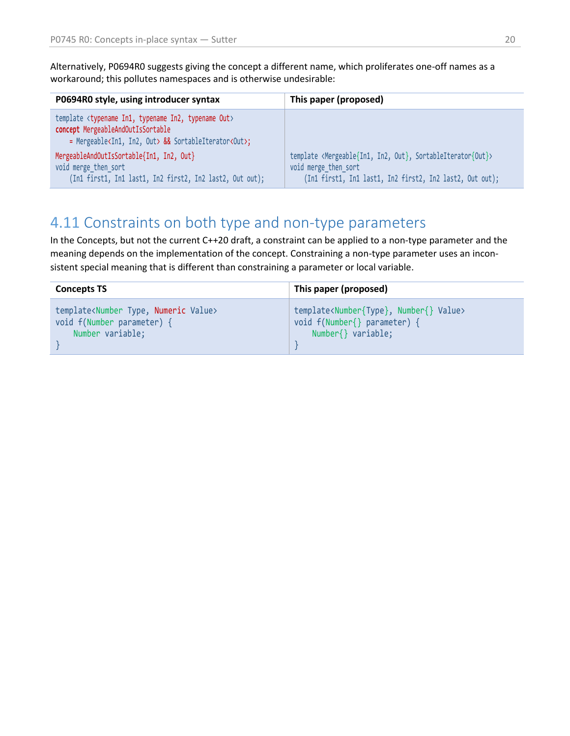Alternatively, P0694R0 suggests giving the concept a different name, which proliferates one-off names as a workaround; this pollutes namespaces and is otherwise undesirable:

| P0694R0 style, using introducer syntax                                                                                                                                                      | This paper (proposed)                                                                                                                                                      |
|---------------------------------------------------------------------------------------------------------------------------------------------------------------------------------------------|----------------------------------------------------------------------------------------------------------------------------------------------------------------------------|
| template <typename in1,="" in2,="" out="" typename=""><br/>concept MergeableAndOutIsSortable<br/>= Mergeable<in1, in2,="" out=""> &amp;&amp; SortableIterator<out>;</out></in1,></typename> |                                                                                                                                                                            |
| MergeableAndOutIsSortable{In1, In2, Out}<br>void merge then sort<br>(In1 first1, In1 last1, In2 first2, In2 last2, Out out);                                                                | template <mergeable{in1, in2,="" out},="" sortableiterator{out}=""><br/>void merge then sort<br/>(In1 first1, In1 last1, In2 first2, In2 last2, Out out);</mergeable{in1,> |

## <span id="page-19-0"></span>4.11 Constraints on both type and non-type parameters

In the Concepts, but not the current C++20 draft, a constraint can be applied to a non-type parameter and the meaning depends on the implementation of the concept. Constraining a non-type parameter uses an inconsistent special meaning that is different than constraining a parameter or local variable.

| <b>Concepts TS</b>                                      | This paper (proposed)                                         |
|---------------------------------------------------------|---------------------------------------------------------------|
| template <number numeric="" type,="" value=""></number> | template <number{type}, number{}="" value=""></number{type},> |
| void f(Number parameter) {                              | void f(Number{} parameter) {                                  |
| Number variable;                                        | Number{} variable;                                            |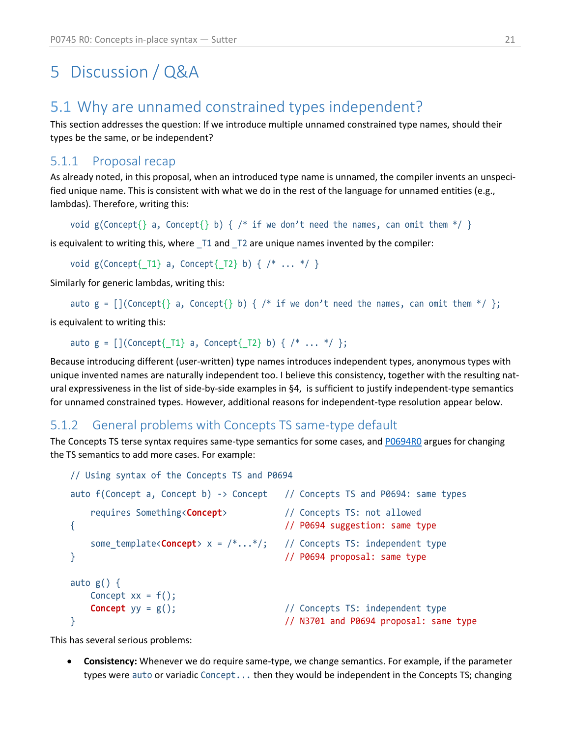# <span id="page-20-0"></span>5 Discussion / Q&A

### <span id="page-20-1"></span>5.1 Why are unnamed constrained types independent?

This section addresses the question: If we introduce multiple unnamed constrained type names, should their types be the same, or be independent?

#### 5.1.1 Proposal recap

As already noted, in this proposal, when an introduced type name is unnamed, the compiler invents an unspecified unique name. This is consistent with what we do in the rest of the language for unnamed entities (e.g., lambdas). Therefore, writing this:

```
void g(Concept{}' a, Concept{}' b) { / * } if we don't need the names, can omit them */ }
```
is equivalent to writing this, where \_T1 and \_T2 are unique names invented by the compiler:

```
void g(Concept{1} a, Concept{12} b) { <math>/* ... * / }</math>
```
Similarly for generic lambdas, writing this:

```
auto g = [ (Concept {} a, Concept {} b) { /* if we don't need the names, can omit them */ };
```
is equivalent to writing this:

```
auto g = [](Concept{\_T1} a, Concept{\_T2} b) { /* ... *}/;
```
Because introducing different (user-written) type names introduces independent types, anonymous types with unique invented names are naturally independent too. I believe this consistency, together with the resulting natural expressiveness in the list of side-by-side examples in [§4,](#page-16-0) is sufficient to justify independent-type semantics for unnamed constrained types. However, additional reasons for independent-type resolution appear below.

#### 5.1.2 General problems with Concepts TS same-type default

The Concepts TS terse syntax requires same-type semantics for some cases, an[d P0694R0](https://wg21.link/p0694) argues for changing the TS semantics to add more cases. For example:

```
// Using syntax of the Concepts TS and P0694
auto f(Concept a, Concept b) -> Concept // Concepts TS and P0694: same types
   requires Something<Concept> // Concepts TS: not allowed
{ // P0694 suggestion: same type
   some_template<Concept> x = /*...*/; // Concepts TS: independent type
} // P0694 proposal: same type
auto g() \{Concept xx = f();
  Concept yy = g(); // Concepts TS: independent type
} // N3701 and P0694 proposal: same type
```
This has several serious problems:

• **Consistency:** Whenever we do require same-type, we change semantics. For example, if the parameter types were auto or variadic Concept... then they would be independent in the Concepts TS; changing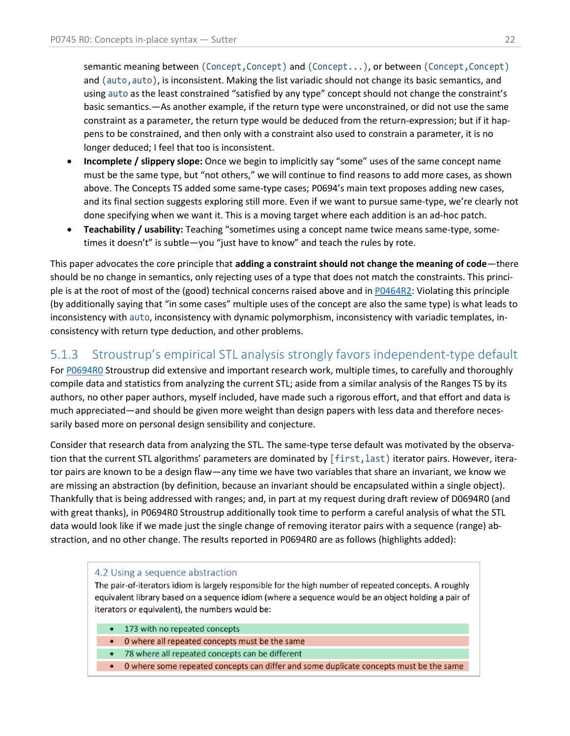semantic meaning between (Concept, Concept) and (Concept...), or between (Concept, Concept) and (auto, auto), is inconsistent. Making the list variadic should not change its basic semantics, and using auto as the least constrained "satisfied by any type" concept should not change the constraint's basic semantics.—As another example, if the return type were unconstrained, or did not use the same constraint as a parameter, the return type would be deduced from the return-expression; but if it happens to be constrained, and then only with a constraint also used to constrain a parameter, it is no longer deduced; I feel that too is inconsistent.

- **Incomplete / slippery slope:** Once we begin to implicitly say "some" uses of the same concept name must be the same type, but "not others," we will continue to find reasons to add more cases, as shown above. The Concepts TS added some same-type cases; P0694's main text proposes adding new cases, and its final section suggests exploring still more. Even if we want to pursue same-type, we're clearly not done specifying when we want it. This is a moving target where each addition is an ad-hoc patch.
- **Teachability / usability:** Teaching "sometimes using a concept name twice means same-type, sometimes it doesn't" is subtle—you "just have to know" and teach the rules by rote.

This paper advocates the core principle that **adding a constraint should not change the meaning of code**—there should be no change in semantics, only rejecting uses of a type that does not match the constraints. This principle is at the root of most of the (good) technical concerns raised above and i[n P0464R2:](https://wg21.link/p0464r2) Violating this principle (by additionally saying that "in some cases" multiple uses of the concept are also the same type) is what leads to inconsistency with auto, inconsistency with dynamic polymorphism, inconsistency with variadic templates, inconsistency with return type deduction, and other problems.

#### 5.1.3 Stroustrup's empirical STL analysis strongly favors independent-type default

For [P0694R0](https://wg21.link/p0694r0) Stroustrup did extensive and important research work, multiple times, to carefully and thoroughly compile data and statistics from analyzing the current STL; aside from a similar analysis of the Ranges TS by its authors, no other paper authors, myself included, have made such a rigorous effort, and that effort and data is much appreciated—and should be given more weight than design papers with less data and therefore necessarily based more on personal design sensibility and conjecture.

Consider that research data from analyzing the STL. The same-type terse default was motivated by the observation that the current STL algorithms' parameters are dominated by [first, last) iterator pairs. However, iterator pairs are known to be a design flaw—any time we have two variables that share an invariant, we know we are missing an abstraction (by definition, because an invariant should be encapsulated within a single object). Thankfully that is being addressed with ranges; and, in part at my request during draft review of D0694R0 (and with great thanks), in P0694R0 Stroustrup additionally took time to perform a careful analysis of what the STL data would look like if we made just the single change of removing iterator pairs with a sequence (range) abstraction, and no other change. The results reported in P0694R0 are as follows (highlights added):

#### 4.2 Using a sequence abstraction

The pair-of-iterators idiom is largely responsible for the high number of repeated concepts. A roughly equivalent library based on a sequence idiom (where a sequence would be an object holding a pair of iterators or equivalent), the numbers would be:

- 173 with no repeated concepts
- O where all repeated concepts must be the same
- 78 where all repeated concepts can be different
- 0 where some repeated concepts can differ and some duplicate concepts must be the same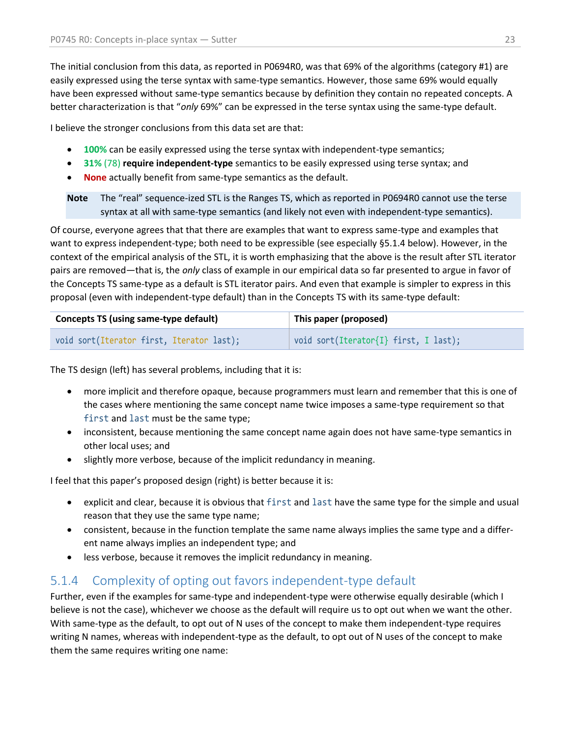The initial conclusion from this data, as reported in P0694R0, was that 69% of the algorithms (category #1) are easily expressed using the terse syntax with same-type semantics. However, those same 69% would equally have been expressed without same-type semantics because by definition they contain no repeated concepts. A better characterization is that "*only* 69%" can be expressed in the terse syntax using the same-type default.

I believe the stronger conclusions from this data set are that:

- **100%** can be easily expressed using the terse syntax with independent-type semantics;
- **31%** (78) **require independent-type** semantics to be easily expressed using terse syntax; and
- **None** actually benefit from same-type semantics as the default.

**Note** The "real" sequence-ized STL is the Ranges TS, which as reported in P0694R0 cannot use the terse syntax at all with same-type semantics (and likely not even with independent-type semantics).

Of course, everyone agrees that that there are examples that want to express same-type and examples that want to express independent-type; both need to be expressible (see especially [§5.1.4](#page-22-0) below). However, in the context of the empirical analysis of the STL, it is worth emphasizing that the above is the result after STL iterator pairs are removed—that is, the *only* class of example in our empirical data so far presented to argue in favor of the Concepts TS same-type as a default is STL iterator pairs. And even that example is simpler to express in this proposal (even with independent-type default) than in the Concepts TS with its same-type default:

| <b>Concepts TS (using same-type default)</b> | This paper (proposed)                 |  |
|----------------------------------------------|---------------------------------------|--|
| void sort(Iterator first, Iterator last);    | void sort(Iterator{I} first, I last); |  |

The TS design (left) has several problems, including that it is:

- more implicit and therefore opaque, because programmers must learn and remember that this is one of the cases where mentioning the same concept name twice imposes a same-type requirement so that first and last must be the same type;
- inconsistent, because mentioning the same concept name again does not have same-type semantics in other local uses; and
- slightly more verbose, because of the implicit redundancy in meaning.

I feel that this paper's proposed design (right) is better because it is:

- explicit and clear, because it is obvious that first and last have the same type for the simple and usual reason that they use the same type name;
- consistent, because in the function template the same name always implies the same type and a different name always implies an independent type; and
- less verbose, because it removes the implicit redundancy in meaning.

### <span id="page-22-0"></span>5.1.4 Complexity of opting out favors independent-type default

Further, even if the examples for same-type and independent-type were otherwise equally desirable (which I believe is not the case), whichever we choose as the default will require us to opt out when we want the other. With same-type as the default, to opt out of N uses of the concept to make them independent-type requires writing N names, whereas with independent-type as the default, to opt out of N uses of the concept to make them the same requires writing one name: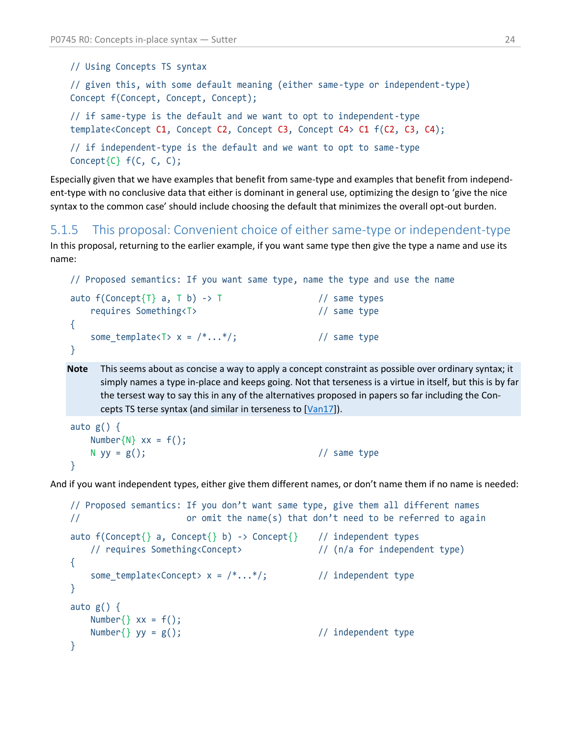// Using Concepts TS syntax

// given this, with some default meaning (either same-type or independent-type) Concept f(Concept, Concept, Concept);

// if same-type is the default and we want to opt to independent-type template<Concept C1, Concept C2, Concept C3, Concept C4> C1 f(C2, C3, C4);

// if independent-type is the default and we want to opt to same-type Concept $\{C\}$   $f(C, C, C)$ ;

Especially given that we have examples that benefit from same-type and examples that benefit from independent-type with no conclusive data that either is dominant in general use, optimizing the design to 'give the nice syntax to the common case' should include choosing the default that minimizes the overall opt-out burden.

#### <span id="page-23-0"></span>5.1.5 This proposal: Convenient choice of either same-type or independent-type

In this proposal, returning to the earlier example, if you want same type then give the type a name and use its name:

```
// Proposed semantics: If you want same type, name the type and use the name
auto f(Concept{T} a, T b) \rightarrow T // same types
    requires Something<T> // same type
{
   some_template<T> x = \frac{*...*}{;} // same type
}
```
**Note** This seems about as concise a way to apply a concept constraint as possible over ordinary syntax; it simply names a type in-place and keeps going. Not that terseness is a virtue in itself, but this is by far the tersest way to say this in any of the alternatives proposed in papers so far including the Con-cepts TS terse syntax (and similar in terseness to [\[Van17\]](http://wiki.edg.com/pub/Wg21kona2017/EvolutionWorkingGroup/terse_syntax_alternative.html)).

```
auto g() \{Number\{N\} xx = f();
   N yy = g(); \frac{1}{2} // same type
}
```
And if you want independent types, either give them different names, or don't name them if no name is needed:

```
// Proposed semantics: If you don't want same type, give them all different names
// or omit the name(s) that don't need to be referred to again
auto f(Concept{}' a, Concept{}' b) -> Concept{}' // independent types
    // requires Something<Concept> // (n/a for independent type)
{
   some_template<Concept> x = \frac{* \dots *}{;} // independent type
}
auto g() \{Number\{\} xx = f();
    Number{} yy = g(); // independent type
}
```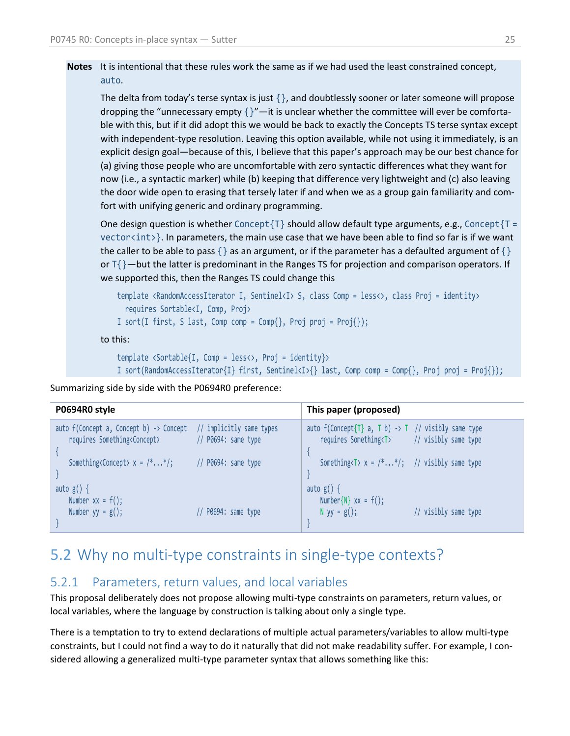**Notes** It is intentional that these rules work the same as if we had used the least constrained concept, auto.

The delta from today's terse syntax is just  $\{\}$ , and doubtlessly sooner or later someone will propose dropping the "unnecessary empty  $\{$   $\}$ "—it is unclear whether the committee will ever be comfortable with this, but if it did adopt this we would be back to exactly the Concepts TS terse syntax except with independent-type resolution. Leaving this option available, while not using it immediately, is an explicit design goal—because of this, I believe that this paper's approach may be our best chance for (a) giving those people who are uncomfortable with zero syntactic differences what they want for now (i.e., a syntactic marker) while (b) keeping that difference very lightweight and (c) also leaving the door wide open to erasing that tersely later if and when we as a group gain familiarity and comfort with unifying generic and ordinary programming.

One design question is whether Concept $\{T\}$  should allow default type arguments, e.g., Concept $\{T =$  $vectors(int)$ . In parameters, the main use case that we have been able to find so far is if we want the caller to be able to pass { } as an argument, or if the parameter has a defaulted argument of { } or  $T\{\}$ —but the latter is predominant in the Ranges TS for projection and comparison operators. If we supported this, then the Ranges TS could change this

```
template <RandomAccessIterator I, Sentinel<I> S, class Comp = less<>, class Proj = identity>
   requires Sortable<I, Comp, Proj>
I sort(I first, S last, Comp comp = Comp{}, Proj proj = Proj{});
```
to this:

```
template <Sortable{I, Comp = less<>, Proj = identity}>
I sort(RandomAccessIterator{I} first, Sentinel<I>{} last, Comp comp = Comp{}, Proj proj = Proj{});
```
Summarizing side by side with the P0694R0 preference:

| P0694R0 style                                                                                                          |                       | This paper (proposed)                                                                                             |                      |
|------------------------------------------------------------------------------------------------------------------------|-----------------------|-------------------------------------------------------------------------------------------------------------------|----------------------|
| auto $f(Concept a, Concept b) \rightarrow Concept / / implicitly same types$<br>requires Something <concept></concept> | $//$ P0694: same type | auto $f(Concept{T} a, T b) \rightarrow T$ // visibly same type<br>requires Something <t> // visibly same type</t> |                      |
| Something <concept> <math>x = \frac{* \dots *}{s}</math></concept>                                                     | $//$ P0694: same type | Something $\overline{Y}$ x = $\overline{Y}$ */; // visibly same type                                              |                      |
| auto $g() \{$<br>Number $xx = f()$ ;                                                                                   |                       | auto $g() \{$<br>Number $\{N\}$ xx = $f()$ ;                                                                      |                      |
| Number $yy = g()$ ;                                                                                                    | $//$ P0694: same type | N yy = $g()$ ;                                                                                                    | // visibly same type |

## <span id="page-24-0"></span>5.2 Why no multi-type constraints in single-type contexts?

#### 5.2.1 Parameters, return values, and local variables

This proposal deliberately does not propose allowing multi-type constraints on parameters, return values, or local variables, where the language by construction is talking about only a single type.

There is a temptation to try to extend declarations of multiple actual parameters/variables to allow multi-type constraints, but I could not find a way to do it naturally that did not make readability suffer. For example, I considered allowing a generalized multi-type parameter syntax that allows something like this: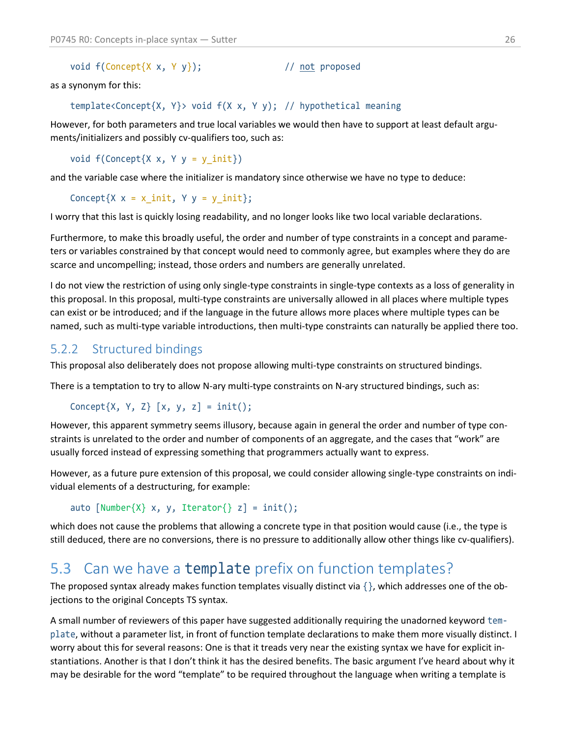void  $f(Concept{X x, Y y});$  // not proposed

as a synonym for this:

template<Concept{X, Y}> void f(X x, Y y); // hypothetical meaning

However, for both parameters and true local variables we would then have to support at least default arguments/initializers and possibly cv-qualifiers too, such as:

void  $f(Concept{X x, Y y = y init})$ 

and the variable case where the initializer is mandatory since otherwise we have no type to deduce:

Concept $\{X \times = x \text{ init}, Y \text{ y = } y \text{ init}\};$ 

I worry that this last is quickly losing readability, and no longer looks like two local variable declarations.

Furthermore, to make this broadly useful, the order and number of type constraints in a concept and parameters or variables constrained by that concept would need to commonly agree, but examples where they do are scarce and uncompelling; instead, those orders and numbers are generally unrelated.

I do not view the restriction of using only single-type constraints in single-type contexts as a loss of generality in this proposal. In this proposal, multi-type constraints are universally allowed in all places where multiple types can exist or be introduced; and if the language in the future allows more places where multiple types can be named, such as multi-type variable introductions, then multi-type constraints can naturally be applied there too.

#### <span id="page-25-1"></span>5.2.2 Structured bindings

This proposal also deliberately does not propose allowing multi-type constraints on structured bindings.

There is a temptation to try to allow N-ary multi-type constraints on N-ary structured bindings, such as:

```
Concept\{X, Y, Z\} [x, y, z] = init();
```
However, this apparent symmetry seems illusory, because again in general the order and number of type constraints is unrelated to the order and number of components of an aggregate, and the cases that "work" are usually forced instead of expressing something that programmers actually want to express.

However, as a future pure extension of this proposal, we could consider allowing single-type constraints on individual elements of a destructuring, for example:

```
auto [Number{X} x, y, Iterator{ z] = init();
```
which does not cause the problems that allowing a concrete type in that position would cause (i.e., the type is still deduced, there are no conversions, there is no pressure to additionally allow other things like cv-qualifiers).

### <span id="page-25-0"></span>5.3 Can we have a template prefix on function templates?

The proposed syntax already makes function templates visually distinct via  $\{\}$ , which addresses one of the objections to the original Concepts TS syntax.

A small number of reviewers of this paper have suggested additionally requiring the unadorned keyword template, without a parameter list, in front of function template declarations to make them more visually distinct. I worry about this for several reasons: One is that it treads very near the existing syntax we have for explicit instantiations. Another is that I don't think it has the desired benefits. The basic argument I've heard about why it may be desirable for the word "template" to be required throughout the language when writing a template is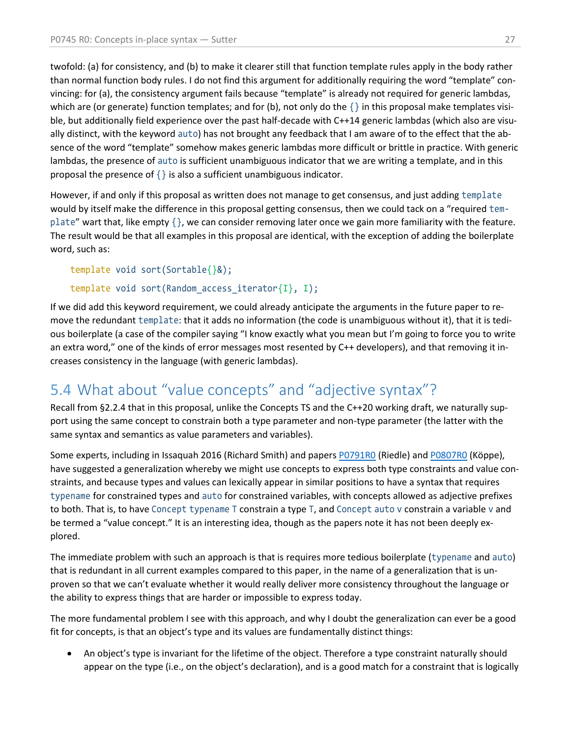twofold: (a) for consistency, and (b) to make it clearer still that function template rules apply in the body rather than normal function body rules. I do not find this argument for additionally requiring the word "template" convincing: for (a), the consistency argument fails because "template" is already not required for generic lambdas, which are (or generate) function templates; and for (b), not only do the  $\{\}$  in this proposal make templates visible, but additionally field experience over the past half-decade with C++14 generic lambdas (which also are visually distinct, with the keyword auto) has not brought any feedback that I am aware of to the effect that the absence of the word "template" somehow makes generic lambdas more difficult or brittle in practice. With generic lambdas, the presence of auto is sufficient unambiguous indicator that we are writing a template, and in this proposal the presence of {} is also a sufficient unambiguous indicator.

However, if and only if this proposal as written does not manage to get consensus, and just adding template would by itself make the difference in this proposal getting consensus, then we could tack on a "required template" wart that, like empty  $\{\}$ , we can consider removing later once we gain more familiarity with the feature. The result would be that all examples in this proposal are identical, with the exception of adding the boilerplate word, such as:

```
template void sort(Sortable{}&);
```

```
template void sort(Random access iterator{I}, I);
```
If we did add this keyword requirement, we could already anticipate the arguments in the future paper to remove the redundant template: that it adds no information (the code is unambiguous without it), that it is tedious boilerplate (a case of the compiler saying "I know exactly what you mean but I'm going to force you to write an extra word," one of the kinds of error messages most resented by C++ developers), and that removing it increases consistency in the language (with generic lambdas).

# <span id="page-26-0"></span>5.4 What about "value concepts" and "adjective syntax"?

Recall from [§2.2.4](#page-6-0) that in this proposal, unlike the Concepts TS and the C++20 working draft, we naturally support using the same concept to constrain both a type parameter and non-type parameter (the latter with the same syntax and semantics as value parameters and variables).

Some experts, including in Issaquah 2016 (Richard Smith) and papers [P0791R0](https://wg21.link/p0791r0) (Riedle) an[d P0807R0](https://wg21.link/p0807r0) (Köppe), have suggested a generalization whereby we might use concepts to express both type constraints and value constraints, and because types and values can lexically appear in similar positions to have a syntax that requires typename for constrained types and auto for constrained variables, with concepts allowed as adjective prefixes to both. That is, to have Concept typename T constrain a type T, and Concept auto v constrain a variable v and be termed a "value concept." It is an interesting idea, though as the papers note it has not been deeply explored.

The immediate problem with such an approach is that is requires more tedious boilerplate (typename and auto) that is redundant in all current examples compared to this paper, in the name of a generalization that is unproven so that we can't evaluate whether it would really deliver more consistency throughout the language or the ability to express things that are harder or impossible to express today.

The more fundamental problem I see with this approach, and why I doubt the generalization can ever be a good fit for concepts, is that an object's type and its values are fundamentally distinct things:

• An object's type is invariant for the lifetime of the object. Therefore a type constraint naturally should appear on the type (i.e., on the object's declaration), and is a good match for a constraint that is logically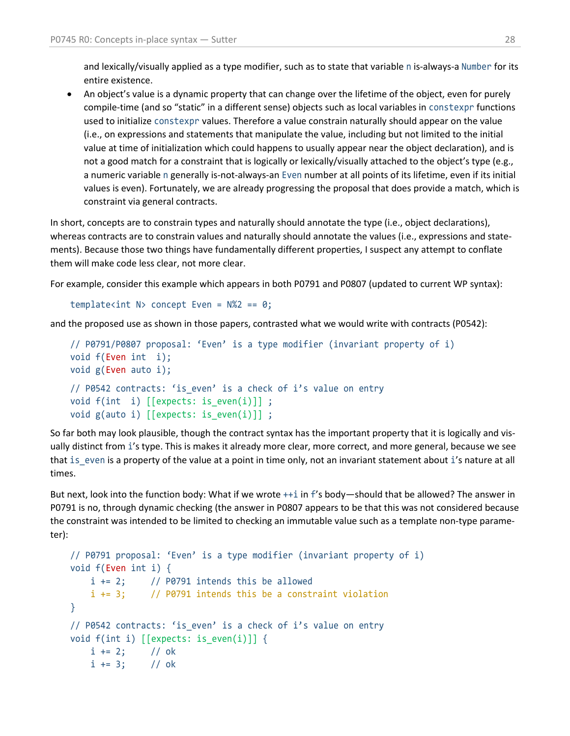and lexically/visually applied as a type modifier, such as to state that variable n is-always-a Number for its entire existence.

• An object's value is a dynamic property that can change over the lifetime of the object, even for purely compile-time (and so "static" in a different sense) objects such as local variables in constexpr functions used to initialize constexpr values. Therefore a value constrain naturally should appear on the value (i.e., on expressions and statements that manipulate the value, including but not limited to the initial value at time of initialization which could happens to usually appear near the object declaration), and is not a good match for a constraint that is logically or lexically/visually attached to the object's type (e.g., a numeric variable n generally is-not-always-an Even number at all points of its lifetime, even if its initial values is even). Fortunately, we are already progressing the proposal that does provide a match, which is constraint via general contracts.

In short, concepts are to constrain types and naturally should annotate the type (i.e., object declarations), whereas contracts are to constrain values and naturally should annotate the values (i.e., expressions and statements). Because those two things have fundamentally different properties, I suspect any attempt to conflate them will make code less clear, not more clear.

For example, consider this example which appears in both P0791 and P0807 (updated to current WP syntax):

```
template<int N> concept Even = N\frac{2}{2} == 0;
```
and the proposed use as shown in those papers, contrasted what we would write with contracts (P0542):

```
// P0791/P0807 proposal: 'Even' is a type modifier (invariant property of i)
void f(Even int i);
void g(Even auto i);
// P0542 contracts: 'is even' is a check of i's value on entry
void f(int i) [[expects: is_even(i)]] ;
void g(auto i) \lceil [expects: is even(i)]] ;
```
So far both may look plausible, though the contract syntax has the important property that it is logically and visually distinct from i's type. This is makes it already more clear, more correct, and more general, because we see that is\_even is a property of the value at a point in time only, not an invariant statement about i's nature at all times.

But next, look into the function body: What if we wrote ++i in f's body—should that be allowed? The answer in P0791 is no, through dynamic checking (the answer in P0807 appears to be that this was not considered because the constraint was intended to be limited to checking an immutable value such as a template non-type parameter):

```
// P0791 proposal: 'Even' is a type modifier (invariant property of i)
void f(Even int i) {
   i += 2; // P0791 intends this be allowed
    i += 3; // P0791 intends this be a constraint violation
}
// P0542 contracts: 'is even' is a check of i's value on entry
void f(int i) [[expects: is_even(i)]] {
   i += 2; // ok
   i += 3; // ok
```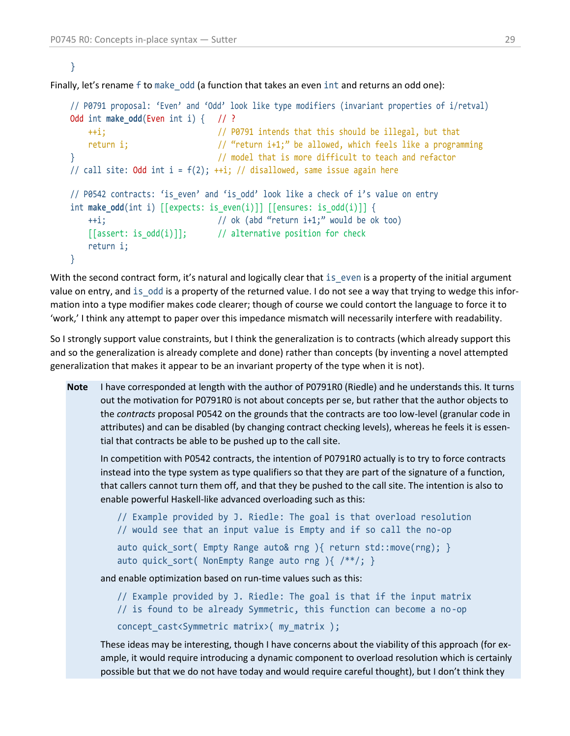#### }

Finally, let's rename f to make odd (a function that takes an even int and returns an odd one):

```
// P0791 proposal: 'Even' and 'Odd' look like type modifiers (invariant properties of i/retval)
Odd int make odd(Even int i) { // ?
    ++i; // P0791 intends that this should be illegal, but that
   return i; \frac{1}{2} // "return i+1;" be allowed, which feels like a programming
} // model that is more difficult to teach and refactor
// call site: Odd int i = f(2); ++i; // disallowed, same issue again here
// P0542 contracts: 'is_even' and 'is_odd' look like a check of i's value on entry
int make odd(int i) [[expects: is even(i)]] [[ensures: is odd(i)]] \{ ++i; // ok (abd "return i+1;" would be ok too)
   [[assert: is odd(i)]]; // alternative position for check
    return i;
}
```
With the second contract form, it's natural and logically clear that is even is a property of the initial argument value on entry, and is odd is a property of the returned value. I do not see a way that trying to wedge this information into a type modifier makes code clearer; though of course we could contort the language to force it to 'work,' I think any attempt to paper over this impedance mismatch will necessarily interfere with readability.

So I strongly support value constraints, but I think the generalization is to contracts (which already support this and so the generalization is already complete and done) rather than concepts (by inventing a novel attempted generalization that makes it appear to be an invariant property of the type when it is not).

**Note** I have corresponded at length with the author of P0791R0 (Riedle) and he understands this. It turns out the motivation for P0791R0 is not about concepts per se, but rather that the author objects to the *contracts* proposal P0542 on the grounds that the contracts are too low-level (granular code in attributes) and can be disabled (by changing contract checking levels), whereas he feels it is essential that contracts be able to be pushed up to the call site.

In competition with P0542 contracts, the intention of P0791R0 actually is to try to force contracts instead into the type system as type qualifiers so that they are part of the signature of a function, that callers cannot turn them off, and that they be pushed to the call site. The intention is also to enable powerful Haskell-like advanced overloading such as this:

```
// Example provided by J. Riedle: The goal is that overload resolution
// would see that an input value is Empty and if so call the no-op
auto quick sort( Empty Range auto& rng ){ return std::move(rng); }
auto quick sort( NonEmpty Range auto rng ){ /**/; }
```
and enable optimization based on run-time values such as this:

// Example provided by J. Riedle: The goal is that if the input matrix // is found to be already Symmetric, this function can become a no-op concept\_cast<Symmetric matrix>( my\_matrix );

These ideas may be interesting, though I have concerns about the viability of this approach (for example, it would require introducing a dynamic component to overload resolution which is certainly possible but that we do not have today and would require careful thought), but I don't think they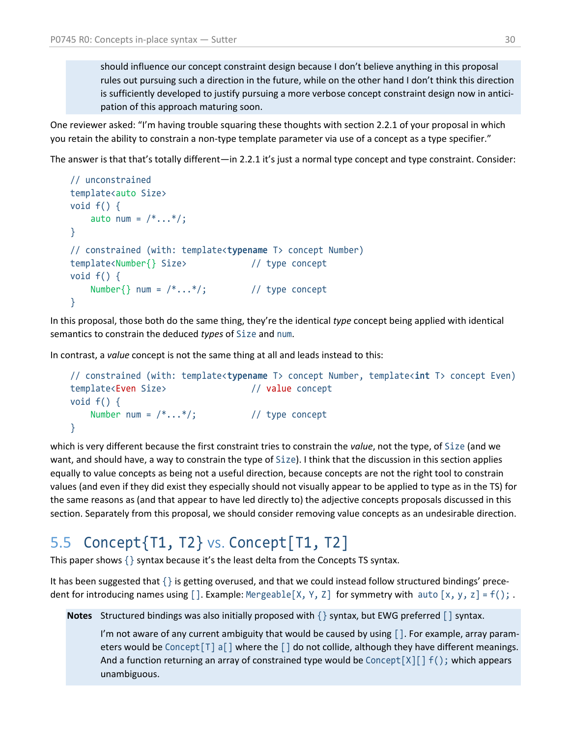should influence our concept constraint design because I don't believe anything in this proposal rules out pursuing such a direction in the future, while on the other hand I don't think this direction is sufficiently developed to justify pursuing a more verbose concept constraint design now in anticipation of this approach maturing soon.

One reviewer asked: "I'm having trouble squaring these thoughts with section 2.2.1 of your proposal in which you retain the ability to constrain a non-type template parameter via use of a concept as a type specifier."

The answer is that that's totally different—in 2.2.1 it's just a normal type concept and type constraint. Consider:

```
// unconstrained
template<auto Size>
void f() \{auto num = /*...*/;}
// constrained (with: template<typename T> concept Number)
template<Number{} Size> // type concept
void f() \{Number\{\} num = /*...*/; // type concept
}
```
In this proposal, those both do the same thing, they're the identical *type* concept being applied with identical semantics to constrain the deduced *types* of Size and num.

In contrast, a *value* concept is not the same thing at all and leads instead to this:

```
// constrained (with: template<typename T> concept Number, template<int T> concept Even)
template<Even Size> // value concept
void f() \{Number num = /*...*/; // type concept
}
```
which is very different because the first constraint tries to constrain the *value*, not the type, of Size (and we want, and should have, a way to constrain the type of Size). I think that the discussion in this section applies equally to value concepts as being not a useful direction, because concepts are not the right tool to constrain values (and even if they did exist they especially should not visually appear to be applied to type as in the TS) for the same reasons as (and that appear to have led directly to) the adjective concepts proposals discussed in this section. Separately from this proposal, we should consider removing value concepts as an undesirable direction.

# <span id="page-29-0"></span>5.5 Concept{T1, T2} vs. Concept[T1, T2]

This paper shows  $\{\}$  syntax because it's the least delta from the Concepts TS syntax.

It has been suggested that {} is getting overused, and that we could instead follow structured bindings' precedent for introducing names using  $[]$ . Example: Mergeable $[X, Y, Z]$  for symmetry with auto  $[x, y, z] = f()$ ;

**Notes** Structured bindings was also initially proposed with  $\{\}$  syntax, but EWG preferred  $\lceil \ \ \ \ \ \$ syntax.

I'm not aware of any current ambiguity that would be caused by using  $\lceil$  ]. For example, array parameters would be Concept  $\lceil T \rceil$  a  $\lceil T \rceil$  where the  $\lceil T \rceil$  do not collide, although they have different meanings. And a function returning an array of constrained type would be Concept $[X][]$  f(); which appears unambiguous.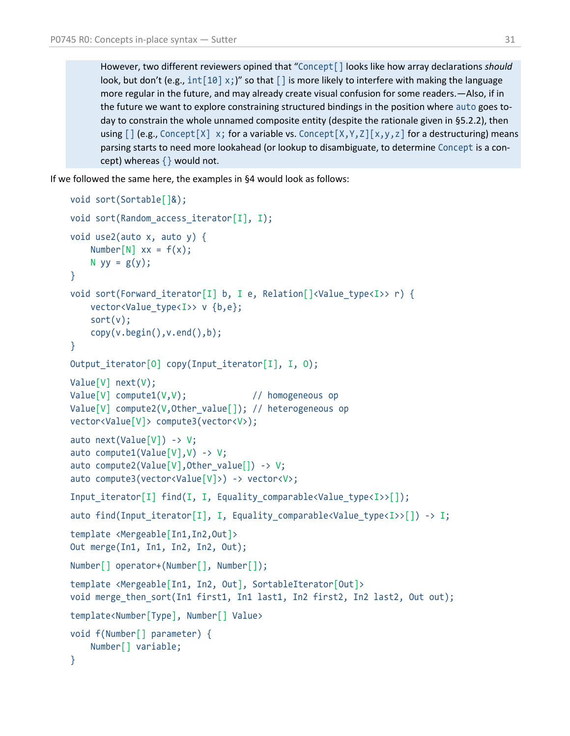However, two different reviewers opined that "Concept[] looks like how array declarations *should* look, but don't (e.g.,  $int[10] \times$ ;)" so that  $\lceil \cdot \rceil$  is more likely to interfere with making the language more regular in the future, and may already create visual confusion for some readers.—Also, if in the future we want to explore constraining structured bindings in the position where auto goes today to constrain the whole unnamed composite entity (despite the rationale given in [§5.2.2\)](#page-25-1), then using  $\lceil$  (e.g., Concept  $\lceil X \rceil \times x$ ; for a variable vs. Concept  $\lceil X, Y, Z \rceil \times y, z \rceil$  for a destructuring) means parsing starts to need more lookahead (or lookup to disambiguate, to determine Concept is a concept) whereas  $\{\}$  would not.

If we followed the same here, the examples in [§4](#page-16-0) would look as follows:

```
void sort(Sortable[]&);
void sort(Random_access_iterator[I], I);
void use2(auto x, auto y) {
   Number[N] xx = f(x);
   N yy = g(y);
}
void sort(Forward iterator[I] b, I e, Relation[]<Value type<I>> r) {
    vector<Value_type<I>> v {b,e};
     sort(v);
     copy(v.begin(),v.end(),b);
}
Output_iterator[O] copy(Input_iterator[I], I, O);
Value[V] next(V);
Value[V] compute1(V,V); // homogeneous op
Value[V] compute2(V,Other_value[]); // heterogeneous op
vector<Value[V]> compute3(vector<V>);
auto next(Value[V]) -> V;
auto compute1(Value[V], V) -> V;
auto compute2(Value[V], Other value[]) -> V;
auto compute3(vector<Value[V]>) -> vector<V>;
Input iterator[I] find(I, I, Equality comparable<Value type<I>>[]);
auto find(Input_iterator[I], I, Equality_comparable<Value_type<I>>[]) -> I;
template <Mergeable[In1,In2,Out]>
Out merge(In1, In1, In2, In2, Out);
Number[] operator+(Number[], Number[]);
template <Mergeable[In1, In2, Out], SortableIterator[Out]>
void merge then sort(In1 first1, In1 last1, In2 first2, In2 last2, Out out);
template<Number[Type], Number[] Value>
void f(Number[] parameter) {
    Number[] variable;
}
```